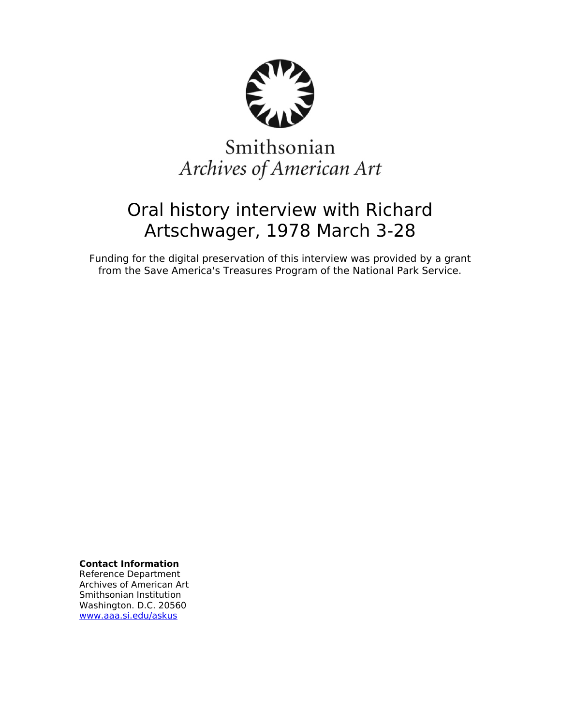

# Smithsonian Archives of American Art

## Oral history interview with Richard Artschwager, 1978 March 3-28

Funding for the digital preservation of this interview was provided by a grant from the Save America's Treasures Program of the National Park Service.

**Contact Information**

Reference Department Archives of American Art Smithsonian Institution Washington. D.C. 20560 [www.aaa.si.edu/askus](http://www.aaa.si.edu/askus)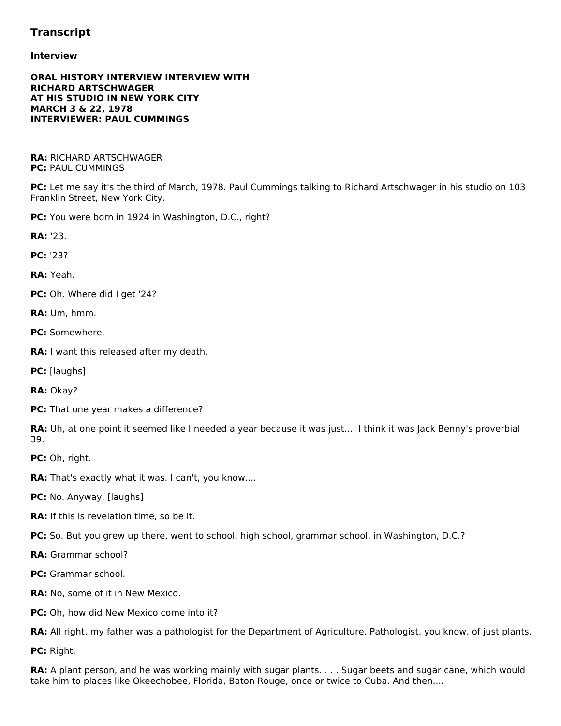## **Transcript**

## **Interview**

## **ORAL HISTORY INTERVIEW INTERVIEW WITH RICHARD ARTSCHWAGER AT HIS STUDIO IN NEW YORK CITY MARCH 3 & 22, 1978 INTERVIEWER: PAUL CUMMINGS**

**RA:** RICHARD ARTSCHWAGER **PC:** PAUL CUMMINGS

**PC:** Let me say it's the third of March, 1978. Paul Cummings talking to Richard Artschwager in his studio on 103 Franklin Street, New York City.

**PC:** You were born in 1924 in Washington, D.C., right?

**RA:** '23.

**PC:** '23?

**RA:** Yeah.

**PC:** Oh. Where did I get '24?

**RA:** Um, hmm.

**PC:** Somewhere.

**RA:** I want this released after my death.

**PC:** [laughs]

**RA:** Okay?

**PC:** That one year makes a difference?

RA: Uh, at one point it seemed like I needed a year because it was just.... I think it was Jack Benny's proverbial 39.

**PC:** Oh, right.

**RA:** That's exactly what it was. I can't, you know....

**PC:** No. Anyway. [laughs]

**RA:** If this is revelation time, so be it.

**PC:** So. But you grew up there, went to school, high school, grammar school, in Washington, D.C.?

**RA:** Grammar school?

**PC:** Grammar school.

**RA:** No, some of it in New Mexico.

**PC:** Oh, how did New Mexico come into it?

**RA:** All right, my father was a pathologist for the Department of Agriculture. Pathologist, you know, of just plants.

**PC:** Right.

**RA:** A plant person, and he was working mainly with sugar plants. . . . Sugar beets and sugar cane, which would take him to places like Okeechobee, Florida, Baton Rouge, once or twice to Cuba. And then....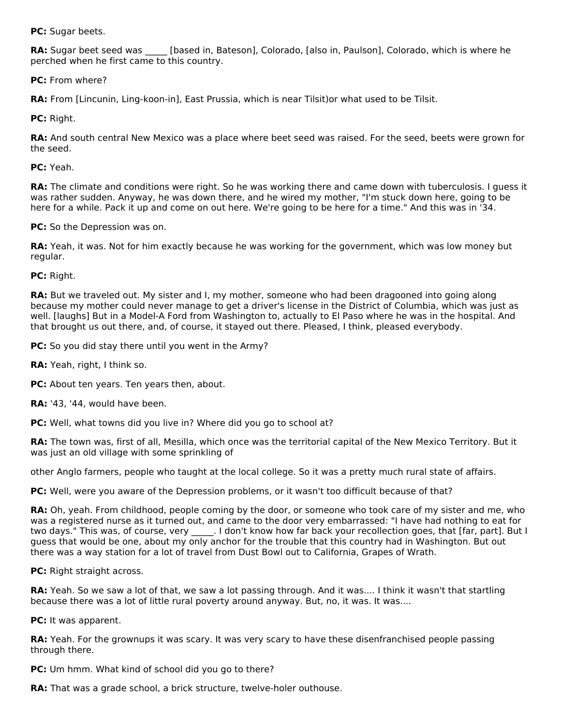**PC:** Sugar beets.

**RA:** Sugar beet seed was [based in, Bateson], Colorado, [also in, Paulson], Colorado, which is where he perched when he first came to this country.

**PC:** From where?

**RA:** From [Lincunin, Ling-koon-in], East Prussia, which is near Tilsit)or what used to be Tilsit.

**PC:** Right.

**RA:** And south central New Mexico was a place where beet seed was raised. For the seed, beets were grown for the seed.

**PC:** Yeah.

**RA:** The climate and conditions were right. So he was working there and came down with tuberculosis. I guess it was rather sudden. Anyway, he was down there, and he wired my mother, "I'm stuck down here, going to be here for a while. Pack it up and come on out here. We're going to be here for a time." And this was in '34.

**PC:** So the Depression was on.

**RA:** Yeah, it was. Not for him exactly because he was working for the government, which was low money but regular.

**PC:** Right.

**RA:** But we traveled out. My sister and I, my mother, someone who had been dragooned into going along because my mother could never manage to get a driver's license in the District of Columbia, which was just as well. [laughs] But in a Model-A Ford from Washington to, actually to El Paso where he was in the hospital. And that brought us out there, and, of course, it stayed out there. Pleased, I think, pleased everybody.

**PC:** So you did stay there until you went in the Army?

**RA:** Yeah, right, I think so.

**PC:** About ten years. Ten years then, about.

**RA:** '43, '44, would have been.

**PC:** Well, what towns did you live in? Where did you go to school at?

**RA:** The town was, first of all, Mesilla, which once was the territorial capital of the New Mexico Territory. But it was just an old village with some sprinkling of

other Anglo farmers, people who taught at the local college. So it was a pretty much rural state of affairs.

**PC:** Well, were you aware of the Depression problems, or it wasn't too difficult because of that?

**RA:** Oh, yeah. From childhood, people coming by the door, or someone who took care of my sister and me, who was a registered nurse as it turned out, and came to the door very embarrassed: "I have had nothing to eat for two days." This was, of course, very ... I don't know how far back your recollection goes, that [far, part]. But I guess that would be one, about my only anchor for the trouble that this country had in Washington. But out there was a way station for a lot of travel from Dust Bowl out to California, Grapes of Wrath.

**PC:** Right straight across.

**RA:** Yeah. So we saw a lot of that, we saw a lot passing through. And it was.... I think it wasn't that startling because there was a lot of little rural poverty around anyway. But, no, it was. It was....

**PC:** It was apparent.

**RA:** Yeah. For the grownups it was scary. It was very scary to have these disenfranchised people passing through there.

**PC:** Um hmm. What kind of school did you go to there?

**RA:** That was a grade school, a brick structure, twelve-holer outhouse.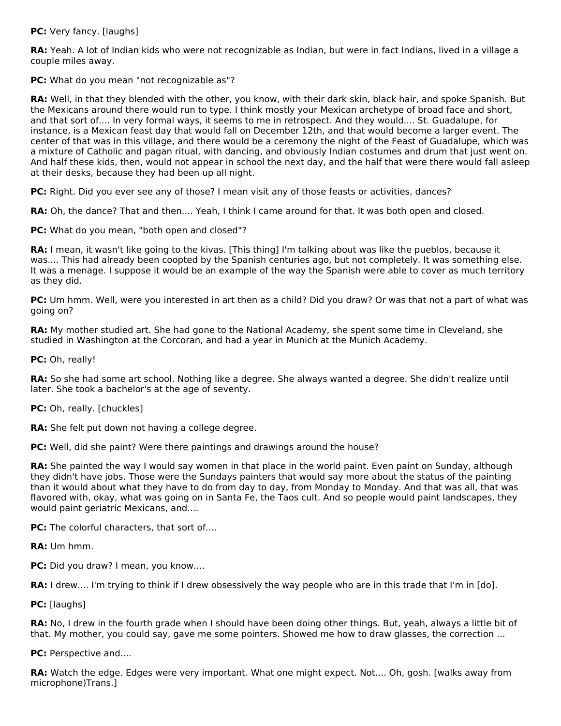**PC:** Very fancy. [laughs]

**RA:** Yeah. A lot of Indian kids who were not recognizable as Indian, but were in fact Indians, lived in a village a couple miles away.

**PC:** What do you mean "not recognizable as"?

**RA:** Well, in that they blended with the other, you know, with their dark skin, black hair, and spoke Spanish. But the Mexicans around there would run to type. I think mostly your Mexican archetype of broad face and short, and that sort of.... In very formal ways, it seems to me in retrospect. And they would.... St. Guadalupe, for instance, is a Mexican feast day that would fall on December 12th, and that would become a larger event. The center of that was in this village, and there would be a ceremony the night of the Feast of Guadalupe, which was a mixture of Catholic and pagan ritual, with dancing, and obviously Indian costumes and drum that just went on. And half these kids, then, would not appear in school the next day, and the half that were there would fall asleep at their desks, because they had been up all night.

**PC:** Right. Did you ever see any of those? I mean visit any of those feasts or activities, dances?

**RA:** Oh, the dance? That and then.... Yeah, I think I came around for that. It was both open and closed.

**PC:** What do you mean, "both open and closed"?

**RA:** I mean, it wasn't like going to the kivas. [This thing] I'm talking about was like the pueblos, because it was.... This had already been coopted by the Spanish centuries ago, but not completely. It was something else. It was a menage. I suppose it would be an example of the way the Spanish were able to cover as much territory as they did.

**PC:** Um hmm. Well, were you interested in art then as a child? Did you draw? Or was that not a part of what was going on?

**RA:** My mother studied art. She had gone to the National Academy, she spent some time in Cleveland, she studied in Washington at the Corcoran, and had a year in Munich at the Munich Academy.

**PC:** Oh, really!

**RA:** So she had some art school. Nothing like a degree. She always wanted a degree. She didn't realize until later. She took a bachelor's at the age of seventy.

**PC:** Oh, really. [chuckles]

**RA:** She felt put down not having a college degree.

**PC:** Well, did she paint? Were there paintings and drawings around the house?

**RA:** She painted the way I would say women in that place in the world paint. Even paint on Sunday, although they didn't have jobs. Those were the Sundays painters that would say more about the status of the painting than it would about what they have to do from day to day, from Monday to Monday. And that was all, that was flavored with, okay, what was going on in Santa Fe, the Taos cult. And so people would paint landscapes, they would paint geriatric Mexicans, and....

**PC:** The colorful characters, that sort of....

**RA:** Um hmm.

**PC:** Did you draw? I mean, you know....

**RA:** I drew.... I'm trying to think if I drew obsessively the way people who are in this trade that I'm in [do].

**PC:** [laughs]

**RA:** No, I drew in the fourth grade when I should have been doing other things. But, yeah, always a little bit of that. My mother, you could say, gave me some pointers. Showed me how to draw glasses, the correction ...

**PC:** Perspective and....

**RA:** Watch the edge. Edges were very important. What one might expect. Not.... Oh, gosh. [walks away from microphone)Trans.]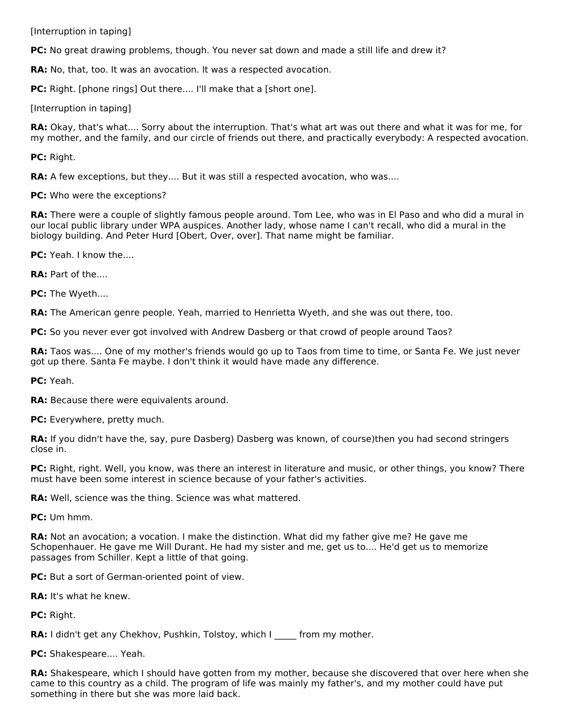[Interruption in taping]

**PC:** No great drawing problems, though. You never sat down and made a still life and drew it?

**RA:** No, that, too. It was an avocation. It was a respected avocation.

**PC:** Right. [phone rings] Out there.... I'll make that a [short one].

[Interruption in taping]

**RA:** Okay, that's what.... Sorry about the interruption. That's what art was out there and what it was for me, for my mother, and the family, and our circle of friends out there, and practically everybody: A respected avocation.

**PC:** Right.

**RA:** A few exceptions, but they.... But it was still a respected avocation, who was....

**PC:** Who were the exceptions?

**RA:** There were a couple of slightly famous people around. Tom Lee, who was in El Paso and who did a mural in our local public library under WPA auspices. Another lady, whose name I can't recall, who did a mural in the biology building. And Peter Hurd [Obert, Over, over]. That name might be familiar.

**PC:** Yeah. I know the....

**RA:** Part of the....

**PC:** The Wyeth....

**RA:** The American genre people. Yeah, married to Henrietta Wyeth, and she was out there, too.

**PC:** So you never ever got involved with Andrew Dasberg or that crowd of people around Taos?

**RA:** Taos was.... One of my mother's friends would go up to Taos from time to time, or Santa Fe. We just never got up there. Santa Fe maybe. I don't think it would have made any difference.

**PC:** Yeah.

**RA:** Because there were equivalents around.

**PC:** Everywhere, pretty much.

**RA:** If you didn't have the, say, pure Dasberg) Dasberg was known, of course)then you had second stringers close in.

**PC:** Right, right. Well, you know, was there an interest in literature and music, or other things, you know? There must have been some interest in science because of your father's activities.

**RA:** Well, science was the thing. Science was what mattered.

**PC:** Um hmm.

**RA:** Not an avocation; a vocation. I make the distinction. What did my father give me? He gave me Schopenhauer. He gave me Will Durant. He had my sister and me, get us to.... He'd get us to memorize passages from Schiller. Kept a little of that going.

**PC:** But a sort of German-oriented point of view.

**RA:** It's what he knew.

**PC:** Right.

**RA:** I didn't get any Chekhov, Pushkin, Tolstoy, which I \_\_\_\_\_ from my mother.

**PC:** Shakespeare.... Yeah.

**RA:** Shakespeare, which I should have gotten from my mother, because she discovered that over here when she came to this country as a child. The program of life was mainly my father's, and my mother could have put something in there but she was more laid back.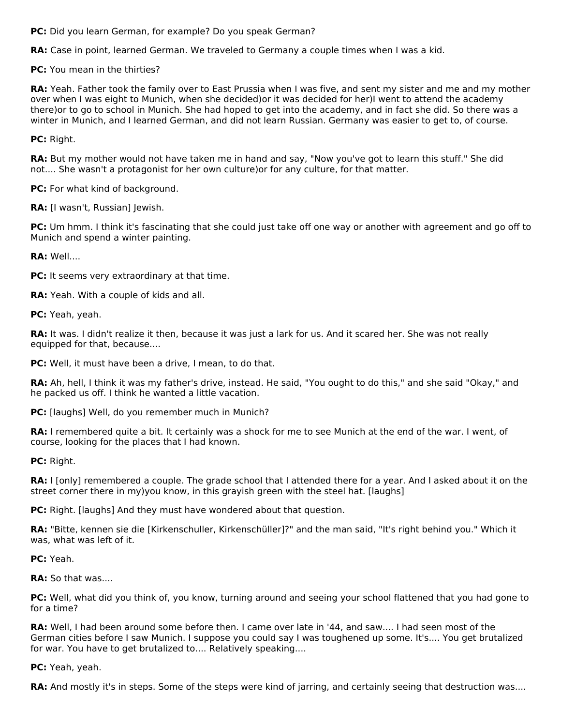**PC:** Did you learn German, for example? Do you speak German?

**RA:** Case in point, learned German. We traveled to Germany a couple times when I was a kid.

**PC:** You mean in the thirties?

**RA:** Yeah. Father took the family over to East Prussia when I was five, and sent my sister and me and my mother over when I was eight to Munich, when she decided)or it was decided for her)I went to attend the academy there)or to go to school in Munich. She had hoped to get into the academy, and in fact she did. So there was a winter in Munich, and I learned German, and did not learn Russian. Germany was easier to get to, of course.

**PC:** Right.

**RA:** But my mother would not have taken me in hand and say, "Now you've got to learn this stuff." She did not.... She wasn't a protagonist for her own culture)or for any culture, for that matter.

**PC:** For what kind of background.

**RA:** [I wasn't, Russian] Jewish.

**PC:** Um hmm. I think it's fascinating that she could just take off one way or another with agreement and go off to Munich and spend a winter painting.

**RA:** Well....

**PC:** It seems very extraordinary at that time.

**RA:** Yeah. With a couple of kids and all.

**PC:** Yeah, yeah.

**RA:** It was. I didn't realize it then, because it was just a lark for us. And it scared her. She was not really equipped for that, because....

**PC:** Well, it must have been a drive, I mean, to do that.

**RA:** Ah, hell, I think it was my father's drive, instead. He said, "You ought to do this," and she said "Okay," and he packed us off. I think he wanted a little vacation.

**PC:** [laughs] Well, do you remember much in Munich?

**RA:** I remembered quite a bit. It certainly was a shock for me to see Munich at the end of the war. I went, of course, looking for the places that I had known.

**PC:** Right.

**RA:** I [only] remembered a couple. The grade school that I attended there for a year. And I asked about it on the street corner there in my)you know, in this grayish green with the steel hat. [laughs]

**PC:** Right. [laughs] And they must have wondered about that question.

**RA:** "Bitte, kennen sie die [Kirkenschuller, Kirkenschüller]?" and the man said, "It's right behind you." Which it was, what was left of it.

**PC:** Yeah.

**RA:** So that was....

**PC:** Well, what did you think of, you know, turning around and seeing your school flattened that you had gone to for a time?

**RA:** Well, I had been around some before then. I came over late in '44, and saw.... I had seen most of the German cities before I saw Munich. I suppose you could say I was toughened up some. It's.... You get brutalized for war. You have to get brutalized to.... Relatively speaking....

**PC:** Yeah, yeah.

**RA:** And mostly it's in steps. Some of the steps were kind of jarring, and certainly seeing that destruction was....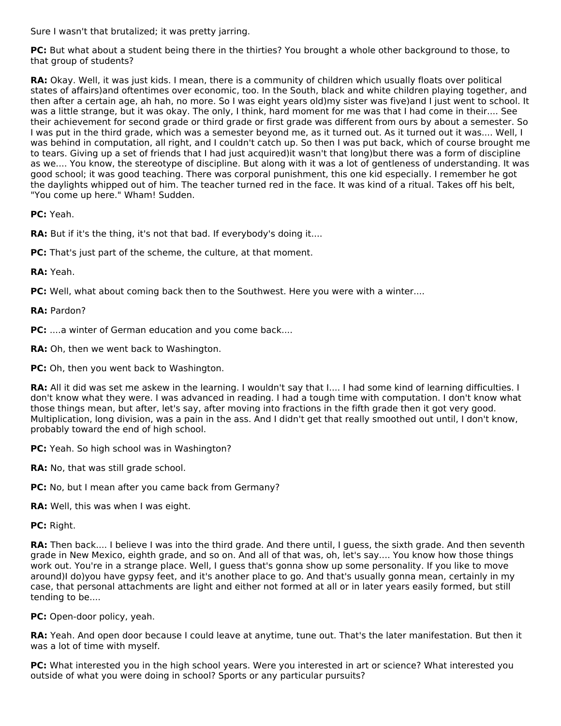Sure I wasn't that brutalized; it was pretty jarring.

**PC:** But what about a student being there in the thirties? You brought a whole other background to those, to that group of students?

**RA:** Okay. Well, it was just kids. I mean, there is a community of children which usually floats over political states of affairs)and oftentimes over economic, too. In the South, black and white children playing together, and then after a certain age, ah hah, no more. So I was eight years old)my sister was five)and I just went to school. It was a little strange, but it was okay. The only, I think, hard moment for me was that I had come in their.... See their achievement for second grade or third grade or first grade was different from ours by about a semester. So I was put in the third grade, which was a semester beyond me, as it turned out. As it turned out it was.... Well, I was behind in computation, all right, and I couldn't catch up. So then I was put back, which of course brought me to tears. Giving up a set of friends that I had just acquired)it wasn't that long)but there was a form of discipline as we.... You know, the stereotype of discipline. But along with it was a lot of gentleness of understanding. It was good school; it was good teaching. There was corporal punishment, this one kid especially. I remember he got the daylights whipped out of him. The teacher turned red in the face. It was kind of a ritual. Takes off his belt, "You come up here." Wham! Sudden.

**PC:** Yeah.

**RA:** But if it's the thing, it's not that bad. If everybody's doing it....

**PC:** That's just part of the scheme, the culture, at that moment.

**RA:** Yeah.

**PC:** Well, what about coming back then to the Southwest. Here you were with a winter....

## **RA:** Pardon?

**PC:** ....a winter of German education and you come back....

**RA:** Oh, then we went back to Washington.

**PC:** Oh, then you went back to Washington.

RA: All it did was set me askew in the learning. I wouldn't say that I.... I had some kind of learning difficulties. I don't know what they were. I was advanced in reading. I had a tough time with computation. I don't know what those things mean, but after, let's say, after moving into fractions in the fifth grade then it got very good. Multiplication, long division, was a pain in the ass. And I didn't get that really smoothed out until, I don't know, probably toward the end of high school.

**PC:** Yeah. So high school was in Washington?

**RA:** No, that was still grade school.

**PC:** No, but I mean after you came back from Germany?

**RA:** Well, this was when I was eight.

**PC:** Right.

**RA:** Then back.... I believe I was into the third grade. And there until, I guess, the sixth grade. And then seventh grade in New Mexico, eighth grade, and so on. And all of that was, oh, let's say.... You know how those things work out. You're in a strange place. Well, I guess that's gonna show up some personality. If you like to move around)I do)you have gypsy feet, and it's another place to go. And that's usually gonna mean, certainly in my case, that personal attachments are light and either not formed at all or in later years easily formed, but still tending to be....

**PC:** Open-door policy, yeah.

**RA:** Yeah. And open door because I could leave at anytime, tune out. That's the later manifestation. But then it was a lot of time with myself.

**PC:** What interested you in the high school years. Were you interested in art or science? What interested you outside of what you were doing in school? Sports or any particular pursuits?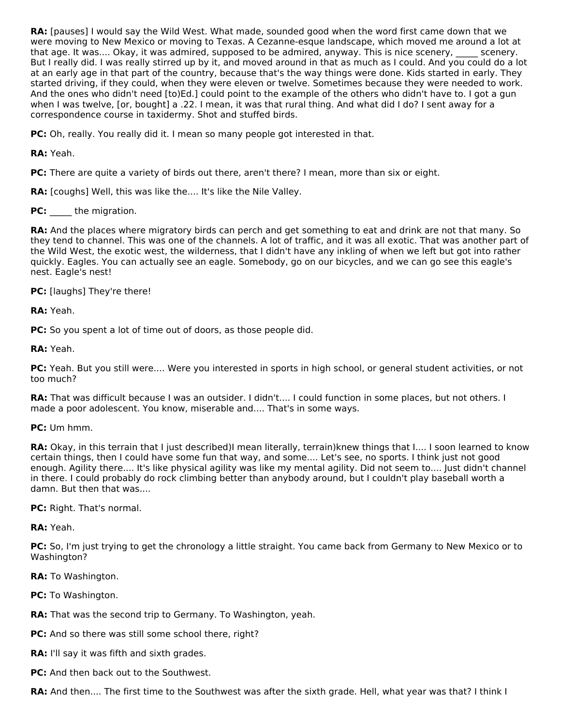**RA:** [pauses] I would say the Wild West. What made, sounded good when the word first came down that we were moving to New Mexico or moving to Texas. A Cezanne-esque landscape, which moved me around a lot at that age. It was.... Okay, it was admired, supposed to be admired, anyway. This is nice scenery, scenery. But I really did. I was really stirred up by it, and moved around in that as much as I could. And you could do a lot at an early age in that part of the country, because that's the way things were done. Kids started in early. They started driving, if they could, when they were eleven or twelve. Sometimes because they were needed to work. And the ones who didn't need [to)Ed.] could point to the example of the others who didn't have to. I got a gun when I was twelve, [or, bought] a .22. I mean, it was that rural thing. And what did I do? I sent away for a correspondence course in taxidermy. Shot and stuffed birds.

**PC:** Oh, really. You really did it. I mean so many people got interested in that.

**RA:** Yeah.

**PC:** There are quite a variety of birds out there, aren't there? I mean, more than six or eight.

**RA:** [coughs] Well, this was like the.... It's like the Nile Valley.

PC: the migration.

**RA:** And the places where migratory birds can perch and get something to eat and drink are not that many. So they tend to channel. This was one of the channels. A lot of traffic, and it was all exotic. That was another part of the Wild West, the exotic west, the wilderness, that I didn't have any inkling of when we left but got into rather quickly. Eagles. You can actually see an eagle. Somebody, go on our bicycles, and we can go see this eagle's nest. Eagle's nest!

**PC:** [laughs] They're there!

**RA:** Yeah.

**PC:** So you spent a lot of time out of doors, as those people did.

**RA:** Yeah.

PC: Yeah. But you still were.... Were you interested in sports in high school, or general student activities, or not too much?

**RA:** That was difficult because I was an outsider. I didn't.... I could function in some places, but not others. I made a poor adolescent. You know, miserable and.... That's in some ways.

**PC:** Um hmm.

**RA:** Okay, in this terrain that I just described)I mean literally, terrain)knew things that I.... I soon learned to know certain things, then I could have some fun that way, and some.... Let's see, no sports. I think just not good enough. Agility there.... It's like physical agility was like my mental agility. Did not seem to.... Just didn't channel in there. I could probably do rock climbing better than anybody around, but I couldn't play baseball worth a damn. But then that was....

**PC:** Right. That's normal.

**RA:** Yeah.

**PC:** So, I'm just trying to get the chronology a little straight. You came back from Germany to New Mexico or to Washington?

**RA:** To Washington.

**PC:** To Washington.

**RA:** That was the second trip to Germany. To Washington, yeah.

**PC:** And so there was still some school there, right?

**RA:** I'll say it was fifth and sixth grades.

**PC:** And then back out to the Southwest.

**RA:** And then.... The first time to the Southwest was after the sixth grade. Hell, what year was that? I think I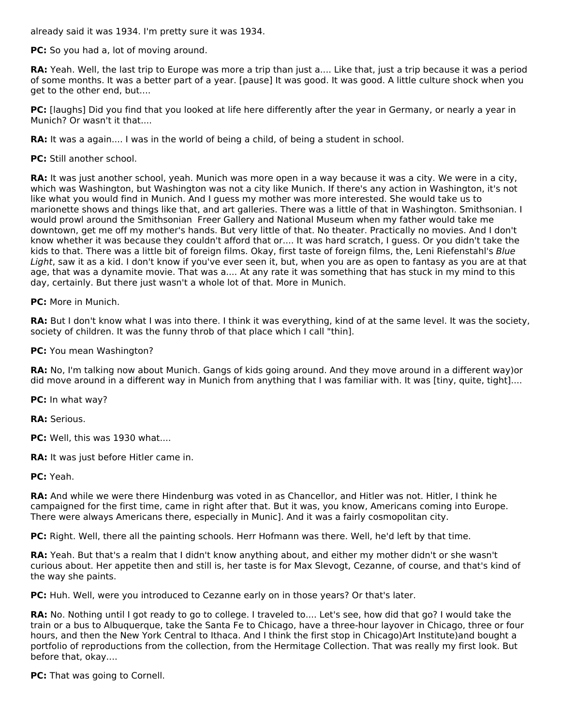already said it was 1934. I'm pretty sure it was 1934.

**PC:** So you had a, lot of moving around.

**RA:** Yeah. Well, the last trip to Europe was more a trip than just a.... Like that, just a trip because it was a period of some months. It was a better part of a year. [pause] It was good. It was good. A little culture shock when you get to the other end, but....

**PC:** [laughs] Did you find that you looked at life here differently after the year in Germany, or nearly a year in Munich? Or wasn't it that....

**RA:** It was a again.... I was in the world of being a child, of being a student in school.

**PC:** Still another school.

**RA:** It was just another school, yeah. Munich was more open in a way because it was a city. We were in a city, which was Washington, but Washington was not a city like Munich. If there's any action in Washington, it's not like what you would find in Munich. And I guess my mother was more interested. She would take us to marionette shows and things like that, and art galleries. There was a little of that in Washington. Smithsonian. I would prowl around the Smithsonian Freer Gallery and National Museum when my father would take me downtown, get me off my mother's hands. But very little of that. No theater. Practically no movies. And I don't know whether it was because they couldn't afford that or.... It was hard scratch, I guess. Or you didn't take the kids to that. There was a little bit of foreign films. Okay, first taste of foreign films, the, Leni Riefenstahl's Blue Light, saw it as a kid. I don't know if you've ever seen it, but, when you are as open to fantasy as you are at that age, that was a dynamite movie. That was a.... At any rate it was something that has stuck in my mind to this day, certainly. But there just wasn't a whole lot of that. More in Munich.

**PC:** More in Munich.

**RA:** But I don't know what I was into there. I think it was everything, kind of at the same level. It was the society, society of children. It was the funny throb of that place which I call "thin].

**PC:** You mean Washington?

**RA:** No, I'm talking now about Munich. Gangs of kids going around. And they move around in a different way)or did move around in a different way in Munich from anything that I was familiar with. It was [tiny, quite, tight]....

**PC:** In what way?

**RA:** Serious.

**PC:** Well, this was 1930 what....

**RA:** It was just before Hitler came in.

**PC:** Yeah.

**RA:** And while we were there Hindenburg was voted in as Chancellor, and Hitler was not. Hitler, I think he campaigned for the first time, came in right after that. But it was, you know, Americans coming into Europe. There were always Americans there, especially in Munic]. And it was a fairly cosmopolitan city.

**PC:** Right. Well, there all the painting schools. Herr Hofmann was there. Well, he'd left by that time.

**RA:** Yeah. But that's a realm that I didn't know anything about, and either my mother didn't or she wasn't curious about. Her appetite then and still is, her taste is for Max Slevogt, Cezanne, of course, and that's kind of the way she paints.

**PC:** Huh. Well, were you introduced to Cezanne early on in those years? Or that's later.

**RA:** No. Nothing until I got ready to go to college. I traveled to.... Let's see, how did that go? I would take the train or a bus to Albuquerque, take the Santa Fe to Chicago, have a three-hour layover in Chicago, three or four hours, and then the New York Central to Ithaca. And I think the first stop in Chicago)Art Institute)and bought a portfolio of reproductions from the collection, from the Hermitage Collection. That was really my first look. But before that, okay....

**PC:** That was going to Cornell.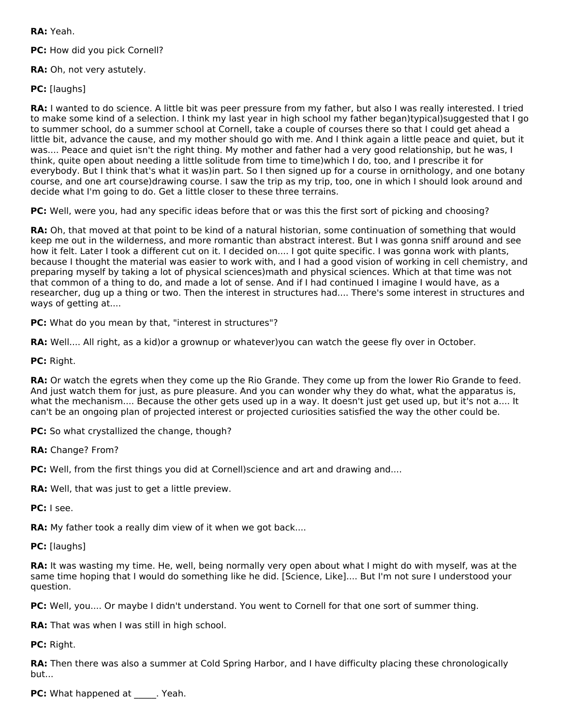**RA:** Yeah.

**PC:** How did you pick Cornell?

**RA:** Oh, not very astutely.

**PC:** [laughs]

**RA:** I wanted to do science. A little bit was peer pressure from my father, but also I was really interested. I tried to make some kind of a selection. I think my last year in high school my father began)typical)suggested that I go to summer school, do a summer school at Cornell, take a couple of courses there so that I could get ahead a little bit, advance the cause, and my mother should go with me. And I think again a little peace and quiet, but it was.... Peace and quiet isn't the right thing. My mother and father had a very good relationship, but he was, I think, quite open about needing a little solitude from time to time)which I do, too, and I prescribe it for everybody. But I think that's what it was)in part. So I then signed up for a course in ornithology, and one botany course, and one art course)drawing course. I saw the trip as my trip, too, one in which I should look around and decide what I'm going to do. Get a little closer to these three terrains.

**PC:** Well, were you, had any specific ideas before that or was this the first sort of picking and choosing?

**RA:** Oh, that moved at that point to be kind of a natural historian, some continuation of something that would keep me out in the wilderness, and more romantic than abstract interest. But I was gonna sniff around and see how it felt. Later I took a different cut on it. I decided on.... I got quite specific. I was gonna work with plants, because I thought the material was easier to work with, and I had a good vision of working in cell chemistry, and preparing myself by taking a lot of physical sciences)math and physical sciences. Which at that time was not that common of a thing to do, and made a lot of sense. And if I had continued I imagine I would have, as a researcher, dug up a thing or two. Then the interest in structures had.... There's some interest in structures and ways of getting at....

**PC:** What do you mean by that, "interest in structures"?

**RA:** Well.... All right, as a kid)or a grownup or whatever)you can watch the geese fly over in October.

**PC:** Right.

**RA:** Or watch the egrets when they come up the Rio Grande. They come up from the lower Rio Grande to feed. And just watch them for just, as pure pleasure. And you can wonder why they do what, what the apparatus is, what the mechanism.... Because the other gets used up in a way. It doesn't just get used up, but it's not a.... It can't be an ongoing plan of projected interest or projected curiosities satisfied the way the other could be.

**PC:** So what crystallized the change, though?

**RA:** Change? From?

**PC:** Well, from the first things you did at Cornell) science and art and drawing and....

**RA:** Well, that was just to get a little preview.

**PC:** I see.

**RA:** My father took a really dim view of it when we got back....

**PC:** [laughs]

**RA:** It was wasting my time. He, well, being normally very open about what I might do with myself, was at the same time hoping that I would do something like he did. [Science, Like].... But I'm not sure I understood your question.

**PC:** Well, you.... Or maybe I didn't understand. You went to Cornell for that one sort of summer thing.

**RA:** That was when I was still in high school.

**PC:** Right.

**RA:** Then there was also a summer at Cold Spring Harbor, and I have difficulty placing these chronologically but...

**PC:** What happened at PC: What happened at All Yeah.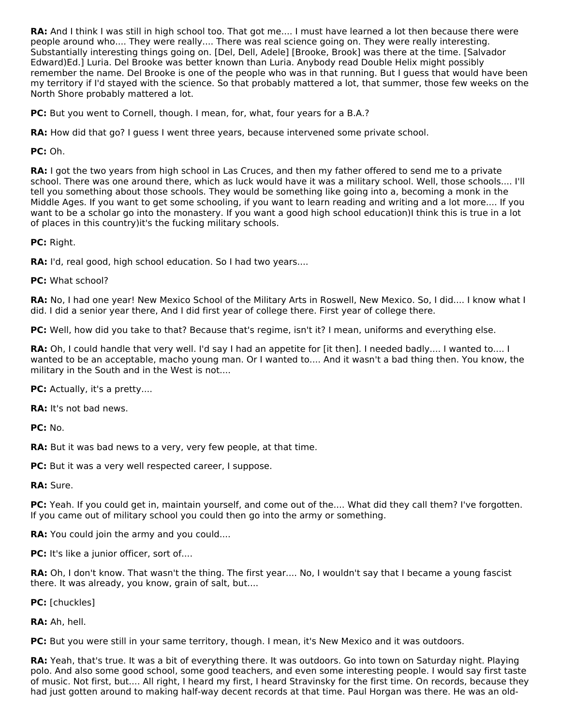**RA:** And I think I was still in high school too. That got me.... I must have learned a lot then because there were people around who.... They were really.... There was real science going on. They were really interesting. Substantially interesting things going on. [Del, Dell, Adele] [Brooke, Brook] was there at the time. [Salvador Edward)Ed.] Luria. Del Brooke was better known than Luria. Anybody read Double Helix might possibly remember the name. Del Brooke is one of the people who was in that running. But I guess that would have been my territory if I'd stayed with the science. So that probably mattered a lot, that summer, those few weeks on the North Shore probably mattered a lot.

**PC:** But you went to Cornell, though. I mean, for, what, four years for a B.A.?

**RA:** How did that go? I guess I went three years, because intervened some private school.

**PC:** Oh.

RA: I got the two years from high school in Las Cruces, and then my father offered to send me to a private school. There was one around there, which as luck would have it was a military school. Well, those schools.... I'll tell you something about those schools. They would be something like going into a, becoming a monk in the Middle Ages. If you want to get some schooling, if you want to learn reading and writing and a lot more.... If you want to be a scholar go into the monastery. If you want a good high school education)I think this is true in a lot of places in this country)it's the fucking military schools.

**PC:** Right.

**RA:** I'd, real good, high school education. So I had two years....

**PC:** What school?

**RA:** No, I had one year! New Mexico School of the Military Arts in Roswell, New Mexico. So, I did.... I know what I did. I did a senior year there, And I did first year of college there. First year of college there.

**PC:** Well, how did you take to that? Because that's regime, isn't it? I mean, uniforms and everything else.

**RA:** Oh, I could handle that very well. I'd say I had an appetite for [it then]. I needed badly.... I wanted to.... I wanted to be an acceptable, macho young man. Or I wanted to.... And it wasn't a bad thing then. You know, the military in the South and in the West is not....

**PC:** Actually, it's a pretty....

**RA:** It's not bad news.

**PC:** No.

**RA:** But it was bad news to a very, very few people, at that time.

**PC:** But it was a very well respected career, I suppose.

**RA:** Sure.

**PC:** Yeah. If you could get in, maintain yourself, and come out of the.... What did they call them? I've forgotten. If you came out of military school you could then go into the army or something.

**RA:** You could join the army and you could....

**PC:** It's like a junior officer, sort of....

**RA:** Oh, I don't know. That wasn't the thing. The first year.... No, I wouldn't say that I became a young fascist there. It was already, you know, grain of salt, but....

**PC:** [chuckles]

**RA:** Ah, hell.

**PC:** But you were still in your same territory, though. I mean, it's New Mexico and it was outdoors.

**RA:** Yeah, that's true. It was a bit of everything there. It was outdoors. Go into town on Saturday night. Playing polo. And also some good school, some good teachers, and even some interesting people. I would say first taste of music. Not first, but.... All right, I heard my first, I heard Stravinsky for the first time. On records, because they had just gotten around to making half-way decent records at that time. Paul Horgan was there. He was an old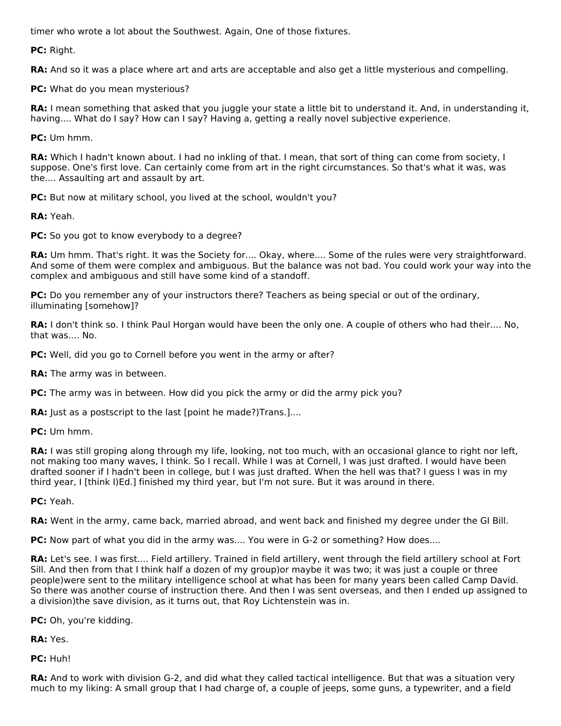timer who wrote a lot about the Southwest. Again, One of those fixtures.

**PC:** Right.

**RA:** And so it was a place where art and arts are acceptable and also get a little mysterious and compelling.

**PC:** What do you mean mysterious?

**RA:** I mean something that asked that you juggle your state a little bit to understand it. And, in understanding it, having.... What do I say? How can I say? Having a, getting a really novel subjective experience.

**PC:** Um hmm.

**RA:** Which I hadn't known about. I had no inkling of that. I mean, that sort of thing can come from society, I suppose. One's first love. Can certainly come from art in the right circumstances. So that's what it was, was the.... Assaulting art and assault by art.

**PC:** But now at military school, you lived at the school, wouldn't you?

**RA:** Yeah.

**PC:** So you got to know everybody to a degree?

**RA:** Um hmm. That's right. It was the Society for.... Okay, where.... Some of the rules were very straightforward. And some of them were complex and ambiguous. But the balance was not bad. You could work your way into the complex and ambiguous and still have some kind of a standoff.

**PC:** Do you remember any of your instructors there? Teachers as being special or out of the ordinary, illuminating [somehow]?

**RA:** I don't think so. I think Paul Horgan would have been the only one. A couple of others who had their.... No, that was.... No.

**PC:** Well, did you go to Cornell before you went in the army or after?

**RA:** The army was in between.

**PC:** The army was in between. How did you pick the army or did the army pick you?

**RA:** Just as a postscript to the last [point he made?) Trans. ]....

**PC:** Um hmm.

**RA:** I was still groping along through my life, looking, not too much, with an occasional glance to right nor left, not making too many waves, I think. So I recall. While I was at Cornell, I was just drafted. I would have been drafted sooner if I hadn't been in college, but I was just drafted. When the hell was that? I guess I was in my third year, I [think I)Ed.] finished my third year, but I'm not sure. But it was around in there.

**PC:** Yeah.

**RA:** Went in the army, came back, married abroad, and went back and finished my degree under the GI Bill.

**PC:** Now part of what you did in the army was.... You were in G-2 or something? How does....

**RA:** Let's see. I was first.... Field artillery. Trained in field artillery, went through the field artillery school at Fort Sill. And then from that I think half a dozen of my group)or maybe it was two; it was just a couple or three people)were sent to the military intelligence school at what has been for many years been called Camp David. So there was another course of instruction there. And then I was sent overseas, and then I ended up assigned to a division)the save division, as it turns out, that Roy Lichtenstein was in.

**PC:** Oh, you're kidding.

**RA:** Yes.

**PC:** Huh!

**RA:** And to work with division G-2, and did what they called tactical intelligence. But that was a situation very much to my liking: A small group that I had charge of, a couple of jeeps, some guns, a typewriter, and a field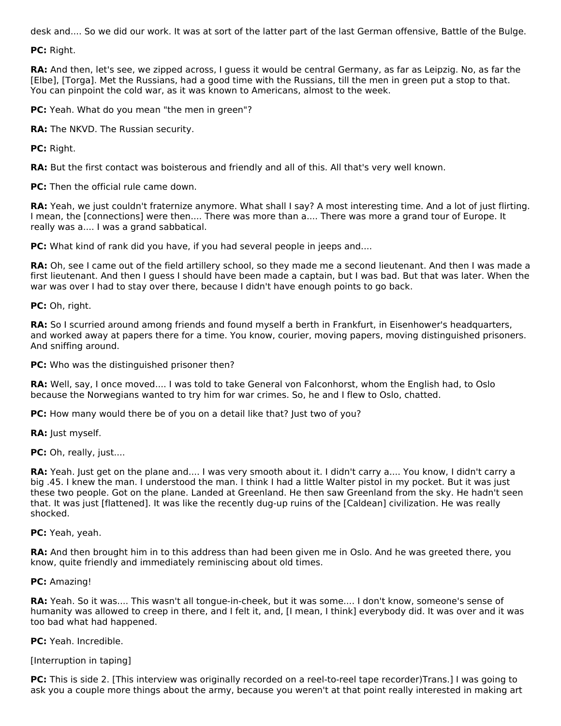desk and.... So we did our work. It was at sort of the latter part of the last German offensive, Battle of the Bulge.

**PC:** Right.

**RA:** And then, let's see, we zipped across, I quess it would be central Germany, as far as Leipzig. No, as far the [Elbe], [Torga]. Met the Russians, had a good time with the Russians, till the men in green put a stop to that. You can pinpoint the cold war, as it was known to Americans, almost to the week.

**PC:** Yeah. What do you mean "the men in green"?

**RA:** The NKVD. The Russian security.

**PC:** Right.

**RA:** But the first contact was boisterous and friendly and all of this. All that's very well known.

**PC:** Then the official rule came down.

RA: Yeah, we just couldn't fraternize anymore. What shall I say? A most interesting time. And a lot of just flirting. I mean, the [connections] were then.... There was more than a.... There was more a grand tour of Europe. It really was a.... I was a grand sabbatical.

**PC:** What kind of rank did you have, if you had several people in jeeps and....

**RA:** Oh, see I came out of the field artillery school, so they made me a second lieutenant. And then I was made a first lieutenant. And then I guess I should have been made a captain, but I was bad. But that was later. When the war was over I had to stay over there, because I didn't have enough points to go back.

**PC:** Oh, right.

**RA:** So I scurried around among friends and found myself a berth in Frankfurt, in Eisenhower's headquarters, and worked away at papers there for a time. You know, courier, moving papers, moving distinguished prisoners. And sniffing around.

**PC:** Who was the distinguished prisoner then?

**RA:** Well, say, I once moved.... I was told to take General von Falconhorst, whom the English had, to Oslo because the Norwegians wanted to try him for war crimes. So, he and I flew to Oslo, chatted.

**PC:** How many would there be of you on a detail like that? Just two of you?

**RA:** Just myself.

PC: Oh, really, just....

**RA:** Yeah. Just get on the plane and.... I was very smooth about it. I didn't carry a.... You know, I didn't carry a big .45. I knew the man. I understood the man. I think I had a little Walter pistol in my pocket. But it was just these two people. Got on the plane. Landed at Greenland. He then saw Greenland from the sky. He hadn't seen that. It was just [flattened]. It was like the recently dug-up ruins of the [Caldean] civilization. He was really shocked.

**PC:** Yeah, yeah.

**RA:** And then brought him in to this address than had been given me in Oslo. And he was greeted there, you know, quite friendly and immediately reminiscing about old times.

**PC:** Amazing!

**RA:** Yeah. So it was.... This wasn't all tongue-in-cheek, but it was some.... I don't know, someone's sense of humanity was allowed to creep in there, and I felt it, and, [I mean, I think] everybody did. It was over and it was too bad what had happened.

**PC:** Yeah. Incredible.

[Interruption in taping]

**PC:** This is side 2. [This interview was originally recorded on a reel-to-reel tape recorder)Trans.] I was going to ask you a couple more things about the army, because you weren't at that point really interested in making art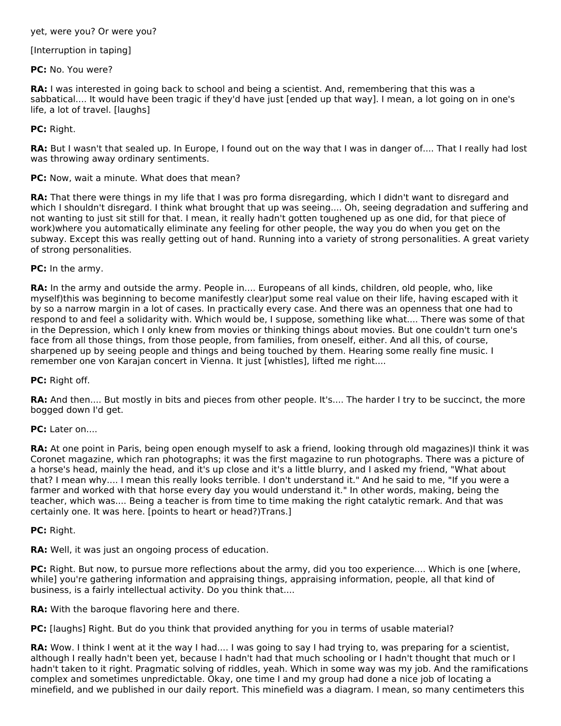### yet, were you? Or were you?

## [Interruption in taping]

## **PC:** No. You were?

**RA:** I was interested in going back to school and being a scientist. And, remembering that this was a sabbatical.... It would have been tragic if they'd have just [ended up that way]. I mean, a lot going on in one's life, a lot of travel. [laughs]

## **PC:** Right.

**RA:** But I wasn't that sealed up. In Europe, I found out on the way that I was in danger of.... That I really had lost was throwing away ordinary sentiments.

**PC:** Now, wait a minute. What does that mean?

**RA:** That there were things in my life that I was pro forma disregarding, which I didn't want to disregard and which I shouldn't disregard. I think what brought that up was seeing.... Oh, seeing degradation and suffering and not wanting to just sit still for that. I mean, it really hadn't gotten toughened up as one did, for that piece of work)where you automatically eliminate any feeling for other people, the way you do when you get on the subway. Except this was really getting out of hand. Running into a variety of strong personalities. A great variety of strong personalities.

**PC:** In the army.

**RA:** In the army and outside the army. People in.... Europeans of all kinds, children, old people, who, like myself)this was beginning to become manifestly clear)put some real value on their life, having escaped with it by so a narrow margin in a lot of cases. In practically every case. And there was an openness that one had to respond to and feel a solidarity with. Which would be, I suppose, something like what.... There was some of that in the Depression, which I only knew from movies or thinking things about movies. But one couldn't turn one's face from all those things, from those people, from families, from oneself, either. And all this, of course, sharpened up by seeing people and things and being touched by them. Hearing some really fine music. I remember one von Karajan concert in Vienna. It just [whistles], lifted me right....

**PC:** Right off.

**RA:** And then.... But mostly in bits and pieces from other people. It's.... The harder I try to be succinct, the more bogged down I'd get.

**PC:** Later on....

**RA:** At one point in Paris, being open enough myself to ask a friend, looking through old magazines)I think it was Coronet magazine, which ran photographs; it was the first magazine to run photographs. There was a picture of a horse's head, mainly the head, and it's up close and it's a little blurry, and I asked my friend, "What about that? I mean why.... I mean this really looks terrible. I don't understand it." And he said to me, "If you were a farmer and worked with that horse every day you would understand it." In other words, making, being the teacher, which was.... Being a teacher is from time to time making the right catalytic remark. And that was certainly one. It was here. [points to heart or head?)Trans.]

**PC:** Right.

**RA:** Well, it was just an ongoing process of education.

**PC:** Right. But now, to pursue more reflections about the army, did you too experience.... Which is one [where, while] you're gathering information and appraising things, appraising information, people, all that kind of business, is a fairly intellectual activity. Do you think that....

**RA:** With the baroque flavoring here and there.

**PC:** [laughs] Right. But do you think that provided anything for you in terms of usable material?

**RA:** Wow. I think I went at it the way I had.... I was going to say I had trying to, was preparing for a scientist, although I really hadn't been yet, because I hadn't had that much schooling or I hadn't thought that much or I hadn't taken to it right. Pragmatic solving of riddles, yeah. Which in some way was my job. And the ramifications complex and sometimes unpredictable. Okay, one time I and my group had done a nice job of locating a minefield, and we published in our daily report. This minefield was a diagram. I mean, so many centimeters this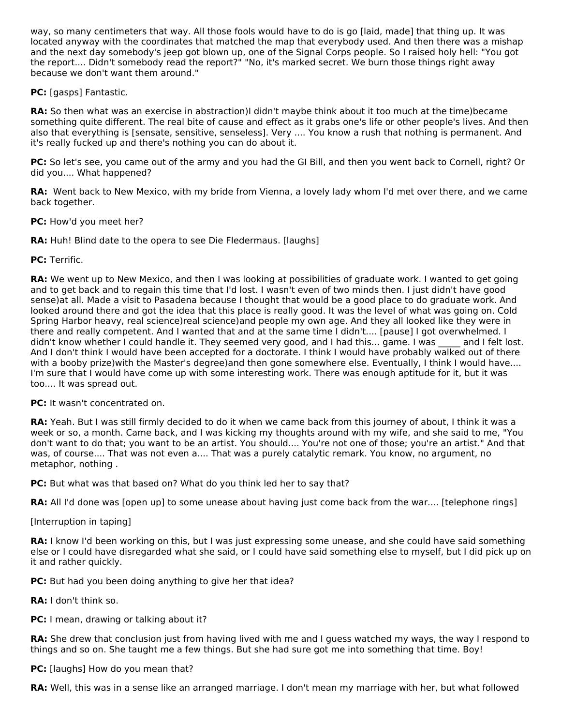way, so many centimeters that way. All those fools would have to do is go [laid, made] that thing up. It was located anyway with the coordinates that matched the map that everybody used. And then there was a mishap and the next day somebody's jeep got blown up, one of the Signal Corps people. So I raised holy hell: "You got the report.... Didn't somebody read the report?" "No, it's marked secret. We burn those things right away because we don't want them around."

**PC:** [gasps] Fantastic.

**RA:** So then what was an exercise in abstraction)I didn't maybe think about it too much at the time)became something quite different. The real bite of cause and effect as it grabs one's life or other people's lives. And then also that everything is [sensate, sensitive, senseless]. Very .... You know a rush that nothing is permanent. And it's really fucked up and there's nothing you can do about it.

**PC:** So let's see, you came out of the army and you had the GI Bill, and then you went back to Cornell, right? Or did you.... What happened?

**RA:** Went back to New Mexico, with my bride from Vienna, a lovely lady whom I'd met over there, and we came back together.

**PC:** How'd you meet her?

**RA:** Huh! Blind date to the opera to see Die Fledermaus. [laughs]

**PC:** Terrific.

**RA:** We went up to New Mexico, and then I was looking at possibilities of graduate work. I wanted to get going and to get back and to regain this time that I'd lost. I wasn't even of two minds then. I just didn't have good sense)at all. Made a visit to Pasadena because I thought that would be a good place to do graduate work. And looked around there and got the idea that this place is really good. It was the level of what was going on. Cold Spring Harbor heavy, real science)real science)and people my own age. And they all looked like they were in there and really competent. And I wanted that and at the same time I didn't.... [pause] I got overwhelmed. I didn't know whether I could handle it. They seemed very good, and I had this... game. I was \_\_\_\_ and I felt lost. And I don't think I would have been accepted for a doctorate. I think I would have probably walked out of there with a booby prize)with the Master's degree)and then gone somewhere else. Eventually, I think I would have.... I'm sure that I would have come up with some interesting work. There was enough aptitude for it, but it was too.... It was spread out.

**PC:** It wasn't concentrated on.

**RA:** Yeah. But I was still firmly decided to do it when we came back from this journey of about, I think it was a week or so, a month. Came back, and I was kicking my thoughts around with my wife, and she said to me, "You don't want to do that; you want to be an artist. You should.... You're not one of those; you're an artist." And that was, of course.... That was not even a.... That was a purely catalytic remark. You know, no argument, no metaphor, nothing .

**PC:** But what was that based on? What do you think led her to say that?

**RA:** All I'd done was [open up] to some unease about having just come back from the war.... [telephone rings]

[Interruption in taping]

**RA:** I know I'd been working on this, but I was just expressing some unease, and she could have said something else or I could have disregarded what she said, or I could have said something else to myself, but I did pick up on it and rather quickly.

**PC:** But had you been doing anything to give her that idea?

**RA:** I don't think so.

**PC:** I mean, drawing or talking about it?

**RA:** She drew that conclusion just from having lived with me and I guess watched my ways, the way I respond to things and so on. She taught me a few things. But she had sure got me into something that time. Boy!

**PC:** [laughs] How do you mean that?

**RA:** Well, this was in a sense like an arranged marriage. I don't mean my marriage with her, but what followed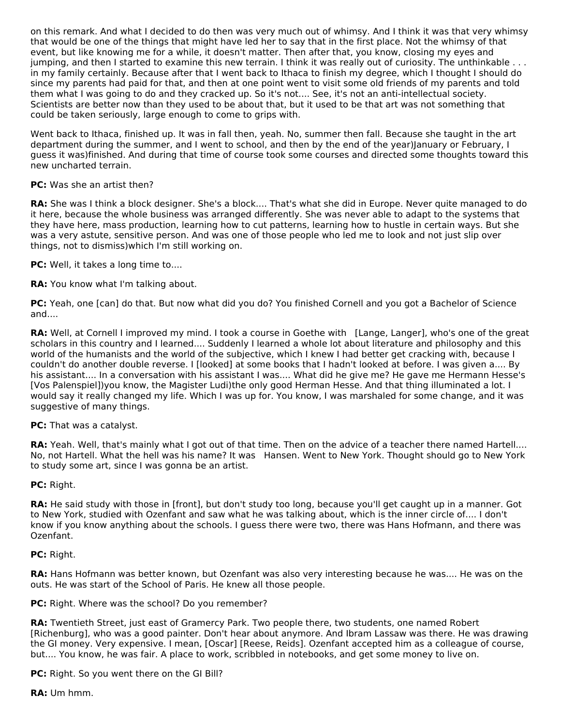on this remark. And what I decided to do then was very much out of whimsy. And I think it was that very whimsy that would be one of the things that might have led her to say that in the first place. Not the whimsy of that event, but like knowing me for a while, it doesn't matter. Then after that, you know, closing my eyes and jumping, and then I started to examine this new terrain. I think it was really out of curiosity. The unthinkable . . . in my family certainly. Because after that I went back to Ithaca to finish my degree, which I thought I should do since my parents had paid for that, and then at one point went to visit some old friends of my parents and told them what I was going to do and they cracked up. So it's not.... See, it's not an anti-intellectual society. Scientists are better now than they used to be about that, but it used to be that art was not something that could be taken seriously, large enough to come to grips with.

Went back to Ithaca, finished up. It was in fall then, yeah. No, summer then fall. Because she taught in the art department during the summer, and I went to school, and then by the end of the year)January or February, I guess it was)finished. And during that time of course took some courses and directed some thoughts toward this new uncharted terrain.

## **PC:** Was she an artist then?

**RA:** She was I think a block designer. She's a block.... That's what she did in Europe. Never quite managed to do it here, because the whole business was arranged differently. She was never able to adapt to the systems that they have here, mass production, learning how to cut patterns, learning how to hustle in certain ways. But she was a very astute, sensitive person. And was one of those people who led me to look and not just slip over things, not to dismiss)which I'm still working on.

**PC:** Well, it takes a long time to....

**RA:** You know what I'm talking about.

**PC:** Yeah, one [can] do that. But now what did you do? You finished Cornell and you got a Bachelor of Science and....

**RA:** Well, at Cornell I improved my mind. I took a course in Goethe with [Lange, Langer], who's one of the great scholars in this country and I learned.... Suddenly I learned a whole lot about literature and philosophy and this world of the humanists and the world of the subjective, which I knew I had better get cracking with, because I couldn't do another double reverse. I [looked] at some books that I hadn't looked at before. I was given a.... By his assistant.... In a conversation with his assistant I was.... What did he give me? He gave me Hermann Hesse's [Vos Palenspiel])you know, the Magister Ludi)the only good Herman Hesse. And that thing illuminated a lot. I would say it really changed my life. Which I was up for. You know, I was marshaled for some change, and it was suggestive of many things.

**PC:** That was a catalyst.

**RA:** Yeah. Well, that's mainly what I got out of that time. Then on the advice of a teacher there named Hartell.... No, not Hartell. What the hell was his name? It was Hansen. Went to New York. Thought should go to New York to study some art, since I was gonna be an artist.

**PC:** Right.

**RA:** He said study with those in [front], but don't study too long, because you'll get caught up in a manner. Got to New York, studied with Ozenfant and saw what he was talking about, which is the inner circle of.... I don't know if you know anything about the schools. I guess there were two, there was Hans Hofmann, and there was Ozenfant.

### **PC:** Right.

**RA:** Hans Hofmann was better known, but Ozenfant was also very interesting because he was.... He was on the outs. He was start of the School of Paris. He knew all those people.

**PC:** Right. Where was the school? Do you remember?

**RA:** Twentieth Street, just east of Gramercy Park. Two people there, two students, one named Robert [Richenburg], who was a good painter. Don't hear about anymore. And Ibram Lassaw was there. He was drawing the GI money. Very expensive. I mean, [Oscar] [Reese, Reids]. Ozenfant accepted him as a colleague of course, but.... You know, he was fair. A place to work, scribbled in notebooks, and get some money to live on.

**PC:** Right. So you went there on the GI Bill?

**RA:** Um hmm.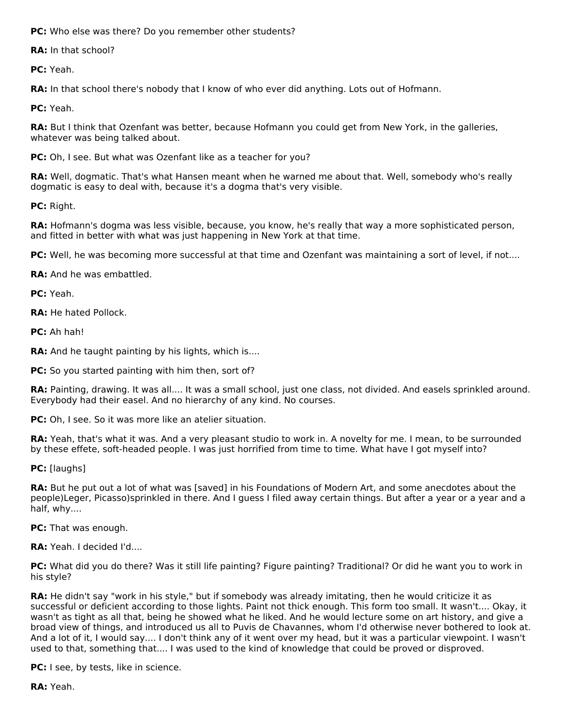**PC:** Who else was there? Do you remember other students?

**RA:** In that school?

**PC:** Yeah.

**RA:** In that school there's nobody that I know of who ever did anything. Lots out of Hofmann.

**PC:** Yeah.

**RA:** But I think that Ozenfant was better, because Hofmann you could get from New York, in the galleries, whatever was being talked about.

**PC:** Oh, I see. But what was Ozenfant like as a teacher for you?

**RA:** Well, dogmatic. That's what Hansen meant when he warned me about that. Well, somebody who's really dogmatic is easy to deal with, because it's a dogma that's very visible.

**PC:** Right.

**RA:** Hofmann's dogma was less visible, because, you know, he's really that way a more sophisticated person, and fitted in better with what was just happening in New York at that time.

**PC:** Well, he was becoming more successful at that time and Ozenfant was maintaining a sort of level, if not....

**RA:** And he was embattled.

**PC:** Yeah.

**RA:** He hated Pollock.

**PC:** Ah hah!

**RA:** And he taught painting by his lights, which is....

**PC:** So you started painting with him then, sort of?

**RA:** Painting, drawing. It was all.... It was a small school, just one class, not divided. And easels sprinkled around. Everybody had their easel. And no hierarchy of any kind. No courses.

**PC:** Oh, I see. So it was more like an atelier situation.

**RA:** Yeah, that's what it was. And a very pleasant studio to work in. A novelty for me. I mean, to be surrounded by these effete, soft-headed people. I was just horrified from time to time. What have I got myself into?

**PC:** [laughs]

**RA:** But he put out a lot of what was [saved] in his Foundations of Modern Art, and some anecdotes about the people)Leger, Picasso)sprinkled in there. And I guess I filed away certain things. But after a year or a year and a half, why....

**PC:** That was enough.

**RA:** Yeah. I decided I'd....

**PC:** What did you do there? Was it still life painting? Figure painting? Traditional? Or did he want you to work in his style?

**RA:** He didn't say "work in his style," but if somebody was already imitating, then he would criticize it as successful or deficient according to those lights. Paint not thick enough. This form too small. It wasn't.... Okay, it wasn't as tight as all that, being he showed what he liked. And he would lecture some on art history, and give a broad view of things, and introduced us all to Puvis de Chavannes, whom I'd otherwise never bothered to look at. And a lot of it, I would say.... I don't think any of it went over my head, but it was a particular viewpoint. I wasn't used to that, something that.... I was used to the kind of knowledge that could be proved or disproved.

**PC:** I see, by tests, like in science.

**RA:** Yeah.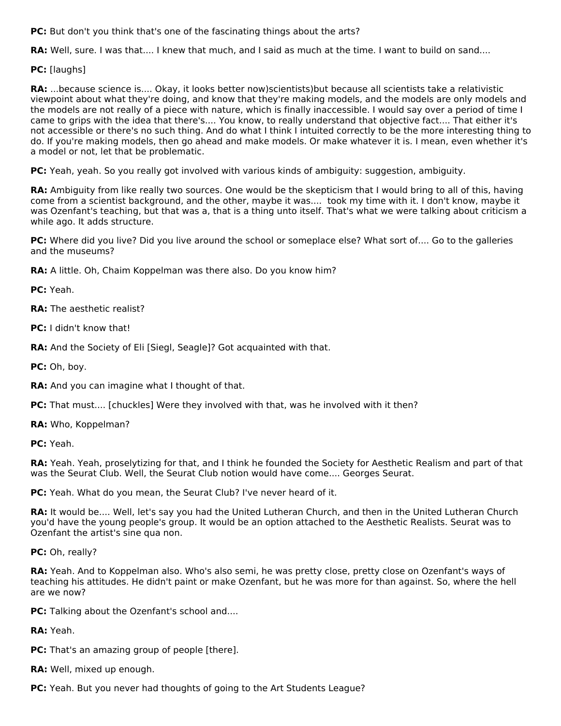**PC:** But don't you think that's one of the fascinating things about the arts?

**RA:** Well, sure. I was that.... I knew that much, and I said as much at the time. I want to build on sand....

**PC:** [laughs]

**RA:** ...because science is.... Okay, it looks better now)scientists)but because all scientists take a relativistic viewpoint about what they're doing, and know that they're making models, and the models are only models and the models are not really of a piece with nature, which is finally inaccessible. I would say over a period of time I came to grips with the idea that there's.... You know, to really understand that objective fact.... That either it's not accessible or there's no such thing. And do what I think I intuited correctly to be the more interesting thing to do. If you're making models, then go ahead and make models. Or make whatever it is. I mean, even whether it's a model or not, let that be problematic.

**PC:** Yeah, yeah. So you really got involved with various kinds of ambiguity: suggestion, ambiguity.

**RA:** Ambiguity from like really two sources. One would be the skepticism that I would bring to all of this, having come from a scientist background, and the other, maybe it was.... took my time with it. I don't know, maybe it was Ozenfant's teaching, but that was a, that is a thing unto itself. That's what we were talking about criticism a while ago. It adds structure.

**PC:** Where did you live? Did you live around the school or someplace else? What sort of.... Go to the galleries and the museums?

**RA:** A little. Oh, Chaim Koppelman was there also. Do you know him?

**PC:** Yeah.

**RA:** The aesthetic realist?

**PC:** I didn't know that!

**RA:** And the Society of Eli [Siegl, Seagle]? Got acquainted with that.

**PC:** Oh, boy.

**RA:** And you can imagine what I thought of that.

**PC:** That must.... [chuckles] Were they involved with that, was he involved with it then?

**RA:** Who, Koppelman?

**PC:** Yeah.

**RA:** Yeah. Yeah, proselytizing for that, and I think he founded the Society for Aesthetic Realism and part of that was the Seurat Club. Well, the Seurat Club notion would have come.... Georges Seurat.

**PC:** Yeah. What do you mean, the Seurat Club? I've never heard of it.

**RA:** It would be.... Well, let's say you had the United Lutheran Church, and then in the United Lutheran Church you'd have the young people's group. It would be an option attached to the Aesthetic Realists. Seurat was to Ozenfant the artist's sine qua non.

**PC:** Oh, really?

**RA:** Yeah. And to Koppelman also. Who's also semi, he was pretty close, pretty close on Ozenfant's ways of teaching his attitudes. He didn't paint or make Ozenfant, but he was more for than against. So, where the hell are we now?

**PC:** Talking about the Ozenfant's school and....

**RA:** Yeah.

**PC:** That's an amazing group of people [there].

**RA:** Well, mixed up enough.

**PC:** Yeah. But you never had thoughts of going to the Art Students League?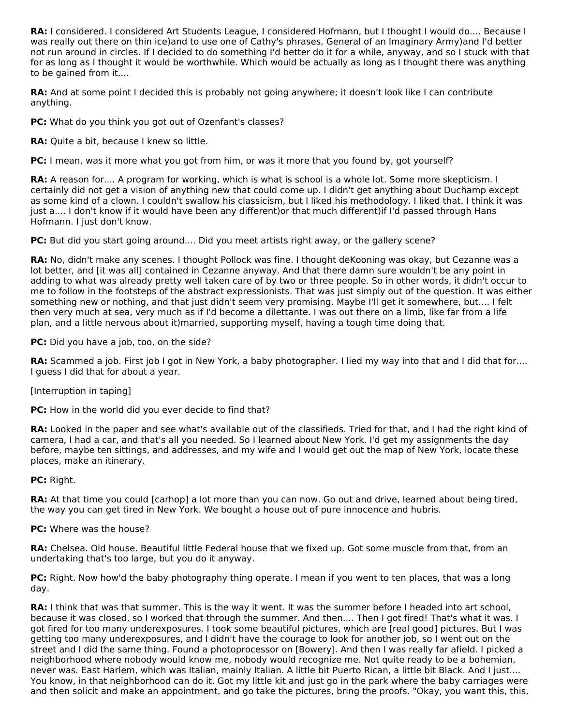**RA:** I considered. I considered Art Students League, I considered Hofmann, but I thought I would do.... Because I was really out there on thin ice)and to use one of Cathy's phrases, General of an Imaginary Army)and I'd better not run around in circles. If I decided to do something I'd better do it for a while, anyway, and so I stuck with that for as long as I thought it would be worthwhile. Which would be actually as long as I thought there was anything to be gained from it....

**RA:** And at some point I decided this is probably not going anywhere; it doesn't look like I can contribute anything.

**PC:** What do you think you got out of Ozenfant's classes?

**RA:** Quite a bit, because I knew so little.

**PC:** I mean, was it more what you got from him, or was it more that you found by, got yourself?

**RA:** A reason for.... A program for working, which is what is school is a whole lot. Some more skepticism. I certainly did not get a vision of anything new that could come up. I didn't get anything about Duchamp except as some kind of a clown. I couldn't swallow his classicism, but I liked his methodology. I liked that. I think it was just a.... I don't know if it would have been any different)or that much different)if I'd passed through Hans Hofmann. I just don't know.

**PC:** But did you start going around.... Did you meet artists right away, or the gallery scene?

**RA:** No, didn't make any scenes. I thought Pollock was fine. I thought deKooning was okay, but Cezanne was a lot better, and [it was all] contained in Cezanne anyway. And that there damn sure wouldn't be any point in adding to what was already pretty well taken care of by two or three people. So in other words, it didn't occur to me to follow in the footsteps of the abstract expressionists. That was just simply out of the question. It was either something new or nothing, and that just didn't seem very promising. Maybe I'll get it somewhere, but.... I felt then very much at sea, very much as if I'd become a dilettante. I was out there on a limb, like far from a life plan, and a little nervous about it)married, supporting myself, having a tough time doing that.

**PC:** Did you have a job, too, on the side?

**RA:** Scammed a job. First job I got in New York, a baby photographer. I lied my way into that and I did that for.... I guess I did that for about a year.

[Interruption in taping]

**PC:** How in the world did you ever decide to find that?

**RA:** Looked in the paper and see what's available out of the classifieds. Tried for that, and I had the right kind of camera, I had a car, and that's all you needed. So I learned about New York. I'd get my assignments the day before, maybe ten sittings, and addresses, and my wife and I would get out the map of New York, locate these places, make an itinerary.

**PC:** Right.

**RA:** At that time you could [carhop] a lot more than you can now. Go out and drive, learned about being tired, the way you can get tired in New York. We bought a house out of pure innocence and hubris.

### **PC:** Where was the house?

**RA:** Chelsea. Old house. Beautiful little Federal house that we fixed up. Got some muscle from that, from an undertaking that's too large, but you do it anyway.

**PC:** Right. Now how'd the baby photography thing operate. I mean if you went to ten places, that was a long day.

**RA:** I think that was that summer. This is the way it went. It was the summer before I headed into art school, because it was closed, so I worked that through the summer. And then.... Then I got fired! That's what it was. I got fired for too many underexposures. I took some beautiful pictures, which are [real good] pictures. But I was getting too many underexposures, and I didn't have the courage to look for another job, so I went out on the street and I did the same thing. Found a photoprocessor on [Bowery]. And then I was really far afield. I picked a neighborhood where nobody would know me, nobody would recognize me. Not quite ready to be a bohemian, never was. East Harlem, which was Italian, mainly Italian. A little bit Puerto Rican, a little bit Black. And I just.... You know, in that neighborhood can do it. Got my little kit and just go in the park where the baby carriages were and then solicit and make an appointment, and go take the pictures, bring the proofs. "Okay, you want this, this,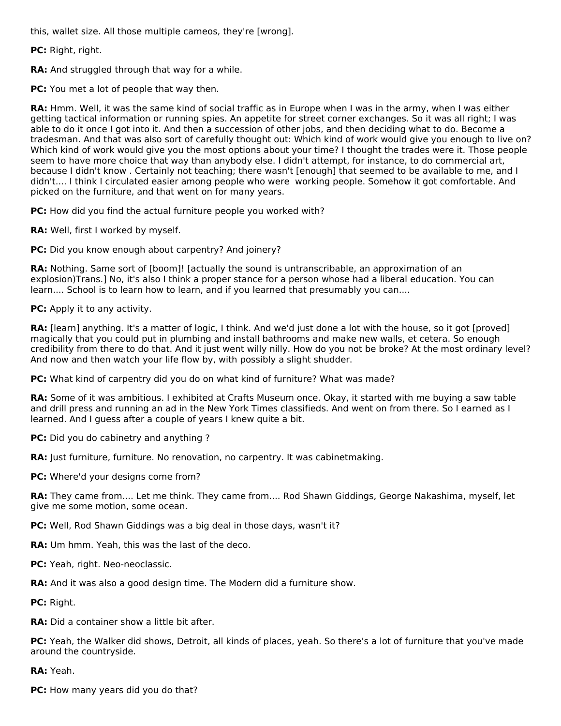this, wallet size. All those multiple cameos, they're [wrong].

**PC:** Right, right.

**RA:** And struggled through that way for a while.

**PC:** You met a lot of people that way then.

**RA:** Hmm. Well, it was the same kind of social traffic as in Europe when I was in the army, when I was either getting tactical information or running spies. An appetite for street corner exchanges. So it was all right; I was able to do it once I got into it. And then a succession of other jobs, and then deciding what to do. Become a tradesman. And that was also sort of carefully thought out: Which kind of work would give you enough to live on? Which kind of work would give you the most options about your time? I thought the trades were it. Those people seem to have more choice that way than anybody else. I didn't attempt, for instance, to do commercial art, because I didn't know . Certainly not teaching; there wasn't [enough] that seemed to be available to me, and I didn't.... I think I circulated easier among people who were working people. Somehow it got comfortable. And picked on the furniture, and that went on for many years.

**PC:** How did you find the actual furniture people you worked with?

**RA:** Well, first I worked by myself.

**PC:** Did you know enough about carpentry? And joinery?

**RA:** Nothing. Same sort of [boom]! [actually the sound is untranscribable, an approximation of an explosion)Trans.] No, it's also I think a proper stance for a person whose had a liberal education. You can learn.... School is to learn how to learn, and if you learned that presumably you can....

**PC:** Apply it to any activity.

**RA:** [learn] anything. It's a matter of logic, I think. And we'd just done a lot with the house, so it got [proved] magically that you could put in plumbing and install bathrooms and make new walls, et cetera. So enough credibility from there to do that. And it just went willy nilly. How do you not be broke? At the most ordinary level? And now and then watch your life flow by, with possibly a slight shudder.

**PC:** What kind of carpentry did you do on what kind of furniture? What was made?

**RA:** Some of it was ambitious. I exhibited at Crafts Museum once. Okay, it started with me buying a saw table and drill press and running an ad in the New York Times classifieds. And went on from there. So I earned as I learned. And I guess after a couple of years I knew quite a bit.

**PC:** Did you do cabinetry and anything ?

**RA:** Just furniture, furniture. No renovation, no carpentry. It was cabinetmaking.

**PC:** Where'd your designs come from?

**RA:** They came from.... Let me think. They came from.... Rod Shawn Giddings, George Nakashima, myself, let give me some motion, some ocean.

**PC:** Well, Rod Shawn Giddings was a big deal in those days, wasn't it?

**RA:** Um hmm. Yeah, this was the last of the deco.

**PC:** Yeah, right. Neo-neoclassic.

**RA:** And it was also a good design time. The Modern did a furniture show.

**PC:** Right.

**RA:** Did a container show a little bit after.

**PC:** Yeah, the Walker did shows, Detroit, all kinds of places, yeah. So there's a lot of furniture that you've made around the countryside.

**RA:** Yeah.

**PC:** How many years did you do that?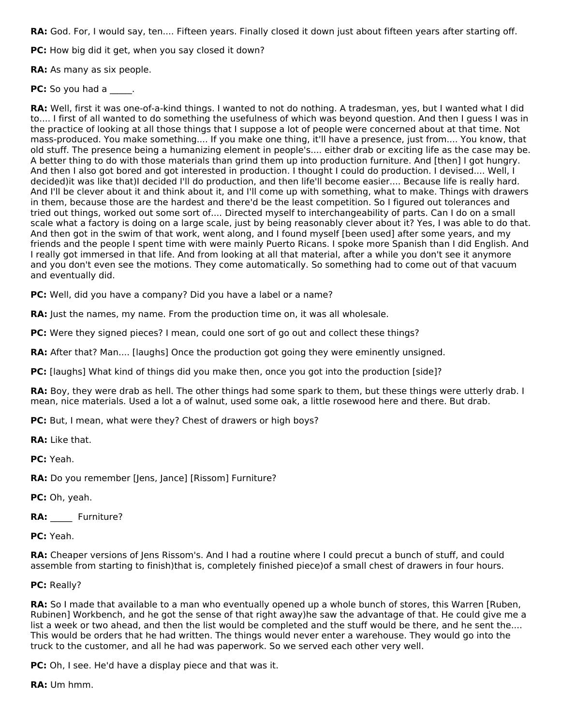**RA:** God. For, I would say, ten.... Fifteen years. Finally closed it down just about fifteen years after starting off.

**PC:** How big did it get, when you say closed it down?

**RA:** As many as six people.

**PC:** So you had a \_\_\_\_.

**RA:** Well, first it was one-of-a-kind things. I wanted to not do nothing. A tradesman, yes, but I wanted what I did to.... I first of all wanted to do something the usefulness of which was beyond question. And then I guess I was in the practice of looking at all those things that I suppose a lot of people were concerned about at that time. Not mass-produced. You make something.... If you make one thing, it'll have a presence, just from.... You know, that old stuff. The presence being a humanizing element in people's.... either drab or exciting life as the case may be. A better thing to do with those materials than grind them up into production furniture. And [then] I got hungry. And then I also got bored and got interested in production. I thought I could do production. I devised.... Well, I decided)it was like that)I decided I'll do production, and then life'll become easier.... Because life is really hard. And I'll be clever about it and think about it, and I'll come up with something, what to make. Things with drawers in them, because those are the hardest and there'd be the least competition. So I figured out tolerances and tried out things, worked out some sort of.... Directed myself to interchangeability of parts. Can I do on a small scale what a factory is doing on a large scale, just by being reasonably clever about it? Yes, I was able to do that. And then got in the swim of that work, went along, and I found myself [been used] after some years, and my friends and the people I spent time with were mainly Puerto Ricans. I spoke more Spanish than I did English. And I really got immersed in that life. And from looking at all that material, after a while you don't see it anymore and you don't even see the motions. They come automatically. So something had to come out of that vacuum and eventually did.

**PC:** Well, did you have a company? Did you have a label or a name?

**RA:** Just the names, my name. From the production time on, it was all wholesale.

**PC:** Were they signed pieces? I mean, could one sort of go out and collect these things?

**RA:** After that? Man.... [laughs] Once the production got going they were eminently unsigned.

**PC:** [laughs] What kind of things did you make then, once you got into the production [side]?

**RA:** Boy, they were drab as hell. The other things had some spark to them, but these things were utterly drab. I mean, nice materials. Used a lot a of walnut, used some oak, a little rosewood here and there. But drab.

**PC:** But, I mean, what were they? Chest of drawers or high boys?

**RA:** Like that.

**PC:** Yeah.

**RA:** Do you remember [Jens, Jance] [Rissom] Furniture?

**PC:** Oh, yeah.

RA: Furniture?

**PC:** Yeah.

**RA:** Cheaper versions of Jens Rissom's. And I had a routine where I could precut a bunch of stuff, and could assemble from starting to finish)that is, completely finished piece)of a small chest of drawers in four hours.

### **PC:** Really?

**RA:** So I made that available to a man who eventually opened up a whole bunch of stores, this Warren [Ruben, Rubinen] Workbench, and he got the sense of that right away)he saw the advantage of that. He could give me a list a week or two ahead, and then the list would be completed and the stuff would be there, and he sent the.... This would be orders that he had written. The things would never enter a warehouse. They would go into the truck to the customer, and all he had was paperwork. So we served each other very well.

**PC:** Oh, I see. He'd have a display piece and that was it.

**RA:** Um hmm.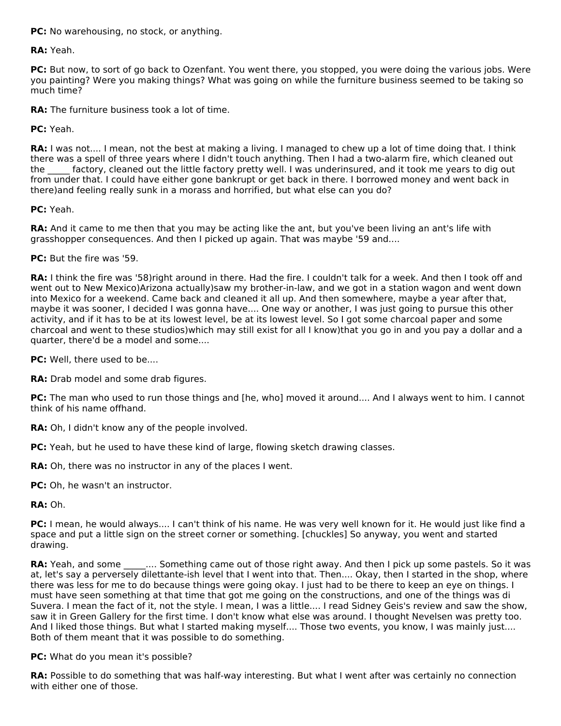**PC:** No warehousing, no stock, or anything.

**RA:** Yeah.

**PC:** But now, to sort of go back to Ozenfant. You went there, you stopped, you were doing the various jobs. Were you painting? Were you making things? What was going on while the furniture business seemed to be taking so much time?

**RA:** The furniture business took a lot of time.

**PC:** Yeah.

**RA:** I was not.... I mean, not the best at making a living. I managed to chew up a lot of time doing that. I think there was a spell of three years where I didn't touch anything. Then I had a two-alarm fire, which cleaned out the factory, cleaned out the little factory pretty well. I was underinsured, and it took me years to dig out from under that. I could have either gone bankrupt or get back in there. I borrowed money and went back in there)and feeling really sunk in a morass and horrified, but what else can you do?

**PC:** Yeah.

**RA:** And it came to me then that you may be acting like the ant, but you've been living an ant's life with grasshopper consequences. And then I picked up again. That was maybe '59 and....

**PC:** But the fire was '59.

**RA:** I think the fire was '58)right around in there. Had the fire. I couldn't talk for a week. And then I took off and went out to New Mexico)Arizona actually)saw my brother-in-law, and we got in a station wagon and went down into Mexico for a weekend. Came back and cleaned it all up. And then somewhere, maybe a year after that, maybe it was sooner, I decided I was gonna have.... One way or another, I was just going to pursue this other activity, and if it has to be at its lowest level, be at its lowest level. So I got some charcoal paper and some charcoal and went to these studios)which may still exist for all I know)that you go in and you pay a dollar and a quarter, there'd be a model and some....

**PC:** Well, there used to be....

**RA:** Drab model and some drab figures.

**PC:** The man who used to run those things and [he, who] moved it around.... And I always went to him. I cannot think of his name offhand.

**RA:** Oh, I didn't know any of the people involved.

**PC:** Yeah, but he used to have these kind of large, flowing sketch drawing classes.

**RA:** Oh, there was no instructor in any of the places I went.

**PC:** Oh, he wasn't an instructor.

**RA:** Oh.

**PC:** I mean, he would always.... I can't think of his name. He was very well known for it. He would just like find a space and put a little sign on the street corner or something. [chuckles] So anyway, you went and started drawing.

**RA:** Yeah, and some \_\_\_\_\_\_... Something came out of those right away. And then I pick up some pastels. So it was at, let's say a perversely dilettante-ish level that I went into that. Then.... Okay, then I started in the shop, where there was less for me to do because things were going okay. I just had to be there to keep an eye on things. I must have seen something at that time that got me going on the constructions, and one of the things was di Suvera. I mean the fact of it, not the style. I mean, I was a little.... I read Sidney Geis's review and saw the show, saw it in Green Gallery for the first time. I don't know what else was around. I thought Nevelsen was pretty too. And I liked those things. But what I started making myself.... Those two events, you know, I was mainly just.... Both of them meant that it was possible to do something.

**PC:** What do you mean it's possible?

**RA:** Possible to do something that was half-way interesting. But what I went after was certainly no connection with either one of those.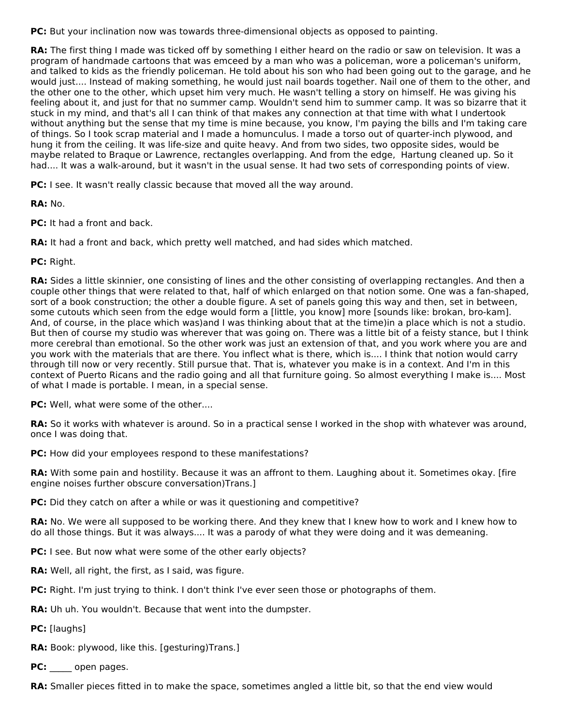**PC:** But your inclination now was towards three-dimensional objects as opposed to painting.

**RA:** The first thing I made was ticked off by something I either heard on the radio or saw on television. It was a program of handmade cartoons that was emceed by a man who was a policeman, wore a policeman's uniform, and talked to kids as the friendly policeman. He told about his son who had been going out to the garage, and he would just.... Instead of making something, he would just nail boards together. Nail one of them to the other, and the other one to the other, which upset him very much. He wasn't telling a story on himself. He was giving his feeling about it, and just for that no summer camp. Wouldn't send him to summer camp. It was so bizarre that it stuck in my mind, and that's all I can think of that makes any connection at that time with what I undertook without anything but the sense that my time is mine because, you know, I'm paying the bills and I'm taking care of things. So I took scrap material and I made a homunculus. I made a torso out of quarter-inch plywood, and hung it from the ceiling. It was life-size and quite heavy. And from two sides, two opposite sides, would be maybe related to Braque or Lawrence, rectangles overlapping. And from the edge, Hartung cleaned up. So it had.... It was a walk-around, but it wasn't in the usual sense. It had two sets of corresponding points of view.

**PC:** I see. It wasn't really classic because that moved all the way around.

**RA:** No.

**PC:** It had a front and back.

**RA:** It had a front and back, which pretty well matched, and had sides which matched.

**PC:** Right.

**RA:** Sides a little skinnier, one consisting of lines and the other consisting of overlapping rectangles. And then a couple other things that were related to that, half of which enlarged on that notion some. One was a fan-shaped, sort of a book construction; the other a double figure. A set of panels going this way and then, set in between, some cutouts which seen from the edge would form a [little, you know] more [sounds like: brokan, bro-kam]. And, of course, in the place which was)and I was thinking about that at the time)in a place which is not a studio. But then of course my studio was wherever that was going on. There was a little bit of a feisty stance, but I think more cerebral than emotional. So the other work was just an extension of that, and you work where you are and you work with the materials that are there. You inflect what is there, which is.... I think that notion would carry through till now or very recently. Still pursue that. That is, whatever you make is in a context. And I'm in this context of Puerto Ricans and the radio going and all that furniture going. So almost everything I make is.... Most of what I made is portable. I mean, in a special sense.

**PC:** Well, what were some of the other....

**RA:** So it works with whatever is around. So in a practical sense I worked in the shop with whatever was around, once I was doing that.

**PC:** How did your employees respond to these manifestations?

**RA:** With some pain and hostility. Because it was an affront to them. Laughing about it. Sometimes okay. [fire engine noises further obscure conversation)Trans.]

**PC:** Did they catch on after a while or was it questioning and competitive?

**RA:** No. We were all supposed to be working there. And they knew that I knew how to work and I knew how to do all those things. But it was always.... It was a parody of what they were doing and it was demeaning.

- **PC:** I see. But now what were some of the other early objects?
- **RA:** Well, all right, the first, as I said, was figure.
- **PC:** Right. I'm just trying to think. I don't think I've ever seen those or photographs of them.
- **RA:** Uh uh. You wouldn't. Because that went into the dumpster.
- **PC:** [laughs]
- **RA:** Book: plywood, like this. [gesturing)Trans.]
- **PC:** open pages.

**RA:** Smaller pieces fitted in to make the space, sometimes angled a little bit, so that the end view would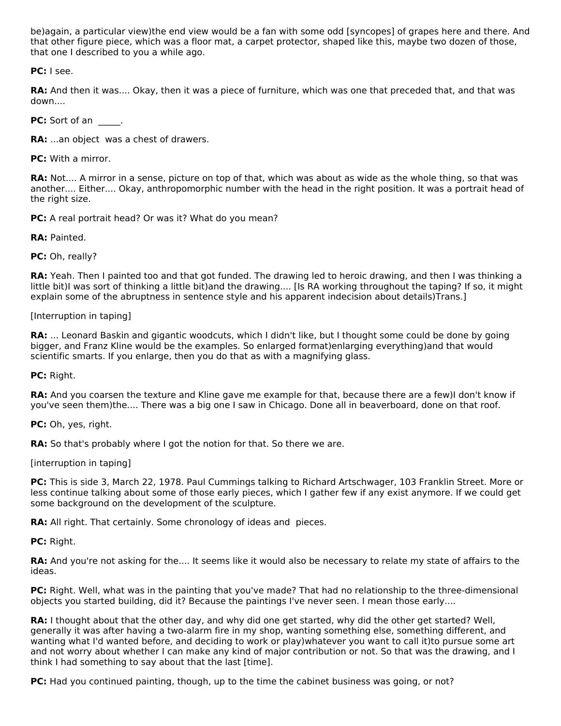be)again, a particular view)the end view would be a fan with some odd [syncopes] of grapes here and there. And that other figure piece, which was a floor mat, a carpet protector, shaped like this, maybe two dozen of those, that one I described to you a while ago.

**PC:** I see.

**RA:** And then it was.... Okay, then it was a piece of furniture, which was one that preceded that, and that was down....

**PC:** Sort of an \_\_\_\_\_.

**RA:** ...an object was a chest of drawers.

**PC:** With a mirror.

**RA:** Not.... A mirror in a sense, picture on top of that, which was about as wide as the whole thing, so that was another.... Either.... Okay, anthropomorphic number with the head in the right position. It was a portrait head of the right size.

**PC:** A real portrait head? Or was it? What do you mean?

**RA:** Painted.

**PC:** Oh, really?

**RA:** Yeah. Then I painted too and that got funded. The drawing led to heroic drawing, and then I was thinking a little bit)I was sort of thinking a little bit)and the drawing.... [Is RA working throughout the taping? If so, it might explain some of the abruptness in sentence style and his apparent indecision about details)Trans.]

[Interruption in taping]

**RA:** ... Leonard Baskin and gigantic woodcuts, which I didn't like, but I thought some could be done by going bigger, and Franz Kline would be the examples. So enlarged format)enlarging everything)and that would scientific smarts. If you enlarge, then you do that as with a magnifying glass.

**PC:** Right.

**RA:** And you coarsen the texture and Kline gave me example for that, because there are a few)I don't know if you've seen them)the.... There was a big one I saw in Chicago. Done all in beaverboard, done on that roof.

**PC:** Oh, yes, right.

RA: So that's probably where I got the notion for that. So there we are.

[interruption in taping]

**PC:** This is side 3, March 22, 1978. Paul Cummings talking to Richard Artschwager, 103 Franklin Street. More or less continue talking about some of those early pieces, which I gather few if any exist anymore. If we could get some background on the development of the sculpture.

**RA:** All right. That certainly. Some chronology of ideas and pieces.

**PC:** Right.

**RA:** And you're not asking for the.... It seems like it would also be necessary to relate my state of affairs to the ideas.

**PC:** Right. Well, what was in the painting that you've made? That had no relationship to the three-dimensional objects you started building, did it? Because the paintings I've never seen. I mean those early....

**RA:** I thought about that the other day, and why did one get started, why did the other get started? Well, generally it was after having a two-alarm fire in my shop, wanting something else, something different, and wanting what I'd wanted before, and deciding to work or play)whatever you want to call it)to pursue some art and not worry about whether I can make any kind of major contribution or not. So that was the drawing, and I think I had something to say about that the last [time].

**PC:** Had you continued painting, though, up to the time the cabinet business was going, or not?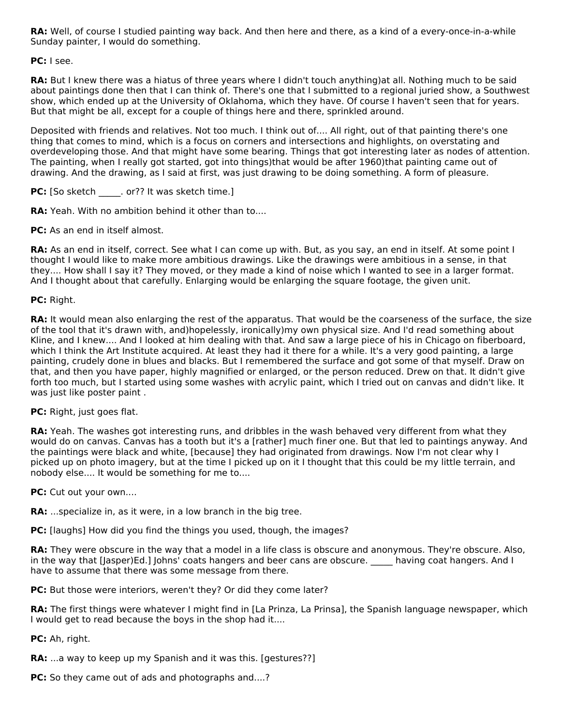**RA:** Well, of course I studied painting way back. And then here and there, as a kind of a every-once-in-a-while Sunday painter, I would do something.

## **PC:** I see.

**RA:** But I knew there was a hiatus of three years where I didn't touch anything)at all. Nothing much to be said about paintings done then that I can think of. There's one that I submitted to a regional juried show, a Southwest show, which ended up at the University of Oklahoma, which they have. Of course I haven't seen that for years. But that might be all, except for a couple of things here and there, sprinkled around.

Deposited with friends and relatives. Not too much. I think out of.... All right, out of that painting there's one thing that comes to mind, which is a focus on corners and intersections and highlights, on overstating and overdeveloping those. And that might have some bearing. Things that got interesting later as nodes of attention. The painting, when I really got started, got into things)that would be after 1960)that painting came out of drawing. And the drawing, as I said at first, was just drawing to be doing something. A form of pleasure.

**PC:** [So sketch \_\_\_\_\_. or?? It was sketch time.]

**RA:** Yeah. With no ambition behind it other than to....

**PC:** As an end in itself almost.

**RA:** As an end in itself, correct. See what I can come up with. But, as you say, an end in itself. At some point I thought I would like to make more ambitious drawings. Like the drawings were ambitious in a sense, in that they.... How shall I say it? They moved, or they made a kind of noise which I wanted to see in a larger format. And I thought about that carefully. Enlarging would be enlarging the square footage, the given unit.

## **PC:** Right.

**RA:** It would mean also enlarging the rest of the apparatus. That would be the coarseness of the surface, the size of the tool that it's drawn with, and)hopelessly, ironically)my own physical size. And I'd read something about Kline, and I knew.... And I looked at him dealing with that. And saw a large piece of his in Chicago on fiberboard, which I think the Art Institute acquired. At least they had it there for a while. It's a very good painting, a large painting, crudely done in blues and blacks. But I remembered the surface and got some of that myself. Draw on that, and then you have paper, highly magnified or enlarged, or the person reduced. Drew on that. It didn't give forth too much, but I started using some washes with acrylic paint, which I tried out on canvas and didn't like. It was just like poster paint .

### **PC:** Right, just goes flat.

**RA:** Yeah. The washes got interesting runs, and dribbles in the wash behaved very different from what they would do on canvas. Canvas has a tooth but it's a [rather] much finer one. But that led to paintings anyway. And the paintings were black and white, [because] they had originated from drawings. Now I'm not clear why I picked up on photo imagery, but at the time I picked up on it I thought that this could be my little terrain, and nobody else.... It would be something for me to....

**PC:** Cut out your own....

**RA:** ...specialize in, as it were, in a low branch in the big tree.

**PC:** [laughs] How did you find the things you used, though, the images?

**RA:** They were obscure in the way that a model in a life class is obscure and anonymous. They're obscure. Also, in the way that [Jasper)Ed.] Johns' coats hangers and beer cans are obscure. \_\_\_\_\_\_ having coat hangers. And I have to assume that there was some message from there.

**PC:** But those were interiors, weren't they? Or did they come later?

**RA:** The first things were whatever I might find in [La Prinza, La Prinsa], the Spanish language newspaper, which I would get to read because the boys in the shop had it....

**PC:** Ah, right.

**RA:** ...a way to keep up my Spanish and it was this. [gestures??]

**PC:** So they came out of ads and photographs and....?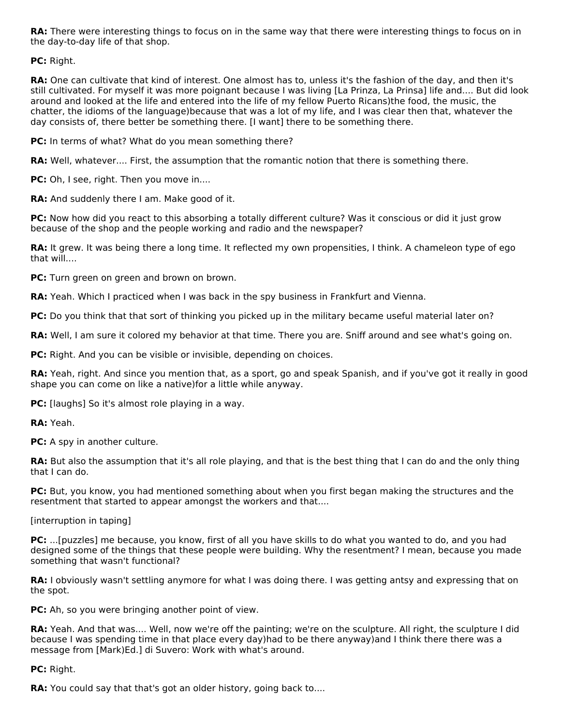**RA:** There were interesting things to focus on in the same way that there were interesting things to focus on in the day-to-day life of that shop.

**PC:** Right.

**RA:** One can cultivate that kind of interest. One almost has to, unless it's the fashion of the day, and then it's still cultivated. For myself it was more poignant because I was living [La Prinza, La Prinsa] life and.... But did look around and looked at the life and entered into the life of my fellow Puerto Ricans)the food, the music, the chatter, the idioms of the language)because that was a lot of my life, and I was clear then that, whatever the day consists of, there better be something there. [I want] there to be something there.

**PC:** In terms of what? What do you mean something there?

**RA:** Well, whatever.... First, the assumption that the romantic notion that there is something there.

**PC:** Oh, I see, right. Then you move in....

**RA:** And suddenly there I am. Make good of it.

**PC:** Now how did you react to this absorbing a totally different culture? Was it conscious or did it just grow because of the shop and the people working and radio and the newspaper?

**RA:** It grew. It was being there a long time. It reflected my own propensities, I think. A chameleon type of ego that will....

**PC:** Turn green on green and brown on brown.

**RA:** Yeah. Which I practiced when I was back in the spy business in Frankfurt and Vienna.

**PC:** Do you think that that sort of thinking you picked up in the military became useful material later on?

**RA:** Well, I am sure it colored my behavior at that time. There you are. Sniff around and see what's going on.

**PC:** Right. And you can be visible or invisible, depending on choices.

**RA:** Yeah, right. And since you mention that, as a sport, go and speak Spanish, and if you've got it really in good shape you can come on like a native)for a little while anyway.

**PC:** [laughs] So it's almost role playing in a way.

**RA:** Yeah.

**PC:** A spy in another culture.

**RA:** But also the assumption that it's all role playing, and that is the best thing that I can do and the only thing that I can do.

PC: But, you know, you had mentioned something about when you first began making the structures and the resentment that started to appear amongst the workers and that....

[interruption in taping]

**PC:** ...[puzzles] me because, you know, first of all you have skills to do what you wanted to do, and you had designed some of the things that these people were building. Why the resentment? I mean, because you made something that wasn't functional?

**RA:** I obviously wasn't settling anymore for what I was doing there. I was getting antsy and expressing that on the spot.

**PC:** Ah, so you were bringing another point of view.

**RA:** Yeah. And that was.... Well, now we're off the painting; we're on the sculpture. All right, the sculpture I did because I was spending time in that place every day)had to be there anyway)and I think there there was a message from [Mark)Ed.] di Suvero: Work with what's around.

**PC:** Right.

**RA:** You could say that that's got an older history, going back to....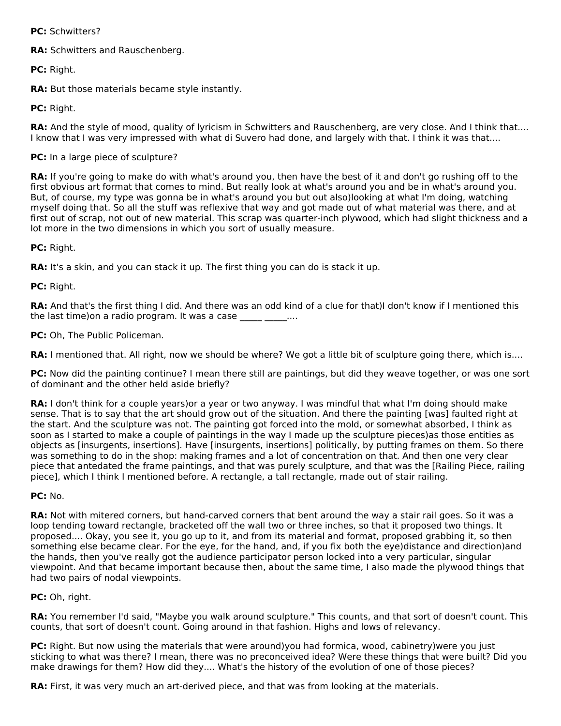**PC:** Schwitters?

**RA:** Schwitters and Rauschenberg.

**PC:** Right.

**RA:** But those materials became style instantly.

**PC:** Right.

**RA:** And the style of mood, quality of lyricism in Schwitters and Rauschenberg, are very close. And I think that.... I know that I was very impressed with what di Suvero had done, and largely with that. I think it was that....

## **PC:** In a large piece of sculpture?

**RA:** If you're going to make do with what's around you, then have the best of it and don't go rushing off to the first obvious art format that comes to mind. But really look at what's around you and be in what's around you. But, of course, my type was gonna be in what's around you but out also)looking at what I'm doing, watching myself doing that. So all the stuff was reflexive that way and got made out of what material was there, and at first out of scrap, not out of new material. This scrap was quarter-inch plywood, which had slight thickness and a lot more in the two dimensions in which you sort of usually measure.

**PC:** Right.

**RA:** It's a skin, and you can stack it up. The first thing you can do is stack it up.

**PC:** Right.

**RA:** And that's the first thing I did. And there was an odd kind of a clue for that)I don't know if I mentioned this the last time) on a radio program. It was a case  $\ldots$ 

**PC:** Oh, The Public Policeman.

**RA:** I mentioned that. All right, now we should be where? We got a little bit of sculpture going there, which is....

**PC:** Now did the painting continue? I mean there still are paintings, but did they weave together, or was one sort of dominant and the other held aside briefly?

**RA:** I don't think for a couple years)or a year or two anyway. I was mindful that what I'm doing should make sense. That is to say that the art should grow out of the situation. And there the painting [was] faulted right at the start. And the sculpture was not. The painting got forced into the mold, or somewhat absorbed, I think as soon as I started to make a couple of paintings in the way I made up the sculpture pieces)as those entities as objects as [insurgents, insertions]. Have [insurgents, insertions] politically, by putting frames on them. So there was something to do in the shop: making frames and a lot of concentration on that. And then one very clear piece that antedated the frame paintings, and that was purely sculpture, and that was the [Railing Piece, railing piece], which I think I mentioned before. A rectangle, a tall rectangle, made out of stair railing.

### **PC:** No.

**RA:** Not with mitered corners, but hand-carved corners that bent around the way a stair rail goes. So it was a loop tending toward rectangle, bracketed off the wall two or three inches, so that it proposed two things. It proposed.... Okay, you see it, you go up to it, and from its material and format, proposed grabbing it, so then something else became clear. For the eye, for the hand, and, if you fix both the eye)distance and direction)and the hands, then you've really got the audience participator person locked into a very particular, singular viewpoint. And that became important because then, about the same time, I also made the plywood things that had two pairs of nodal viewpoints.

## **PC:** Oh, right.

**RA:** You remember I'd said, "Maybe you walk around sculpture." This counts, and that sort of doesn't count. This counts, that sort of doesn't count. Going around in that fashion. Highs and lows of relevancy.

**PC:** Right. But now using the materials that were around)you had formica, wood, cabinetry)were you just sticking to what was there? I mean, there was no preconceived idea? Were these things that were built? Did you make drawings for them? How did they.... What's the history of the evolution of one of those pieces?

**RA:** First, it was very much an art-derived piece, and that was from looking at the materials.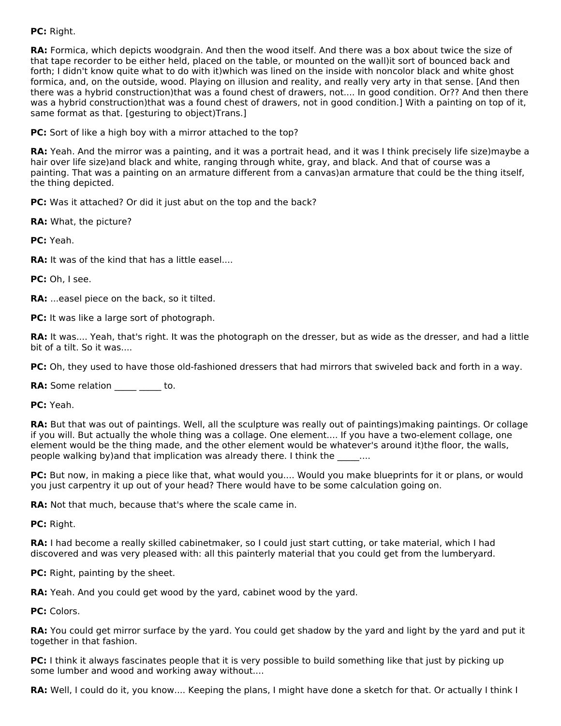## **PC:** Right.

**RA:** Formica, which depicts woodgrain. And then the wood itself. And there was a box about twice the size of that tape recorder to be either held, placed on the table, or mounted on the wall)it sort of bounced back and forth; I didn't know quite what to do with it)which was lined on the inside with noncolor black and white ghost formica, and, on the outside, wood. Playing on illusion and reality, and really very arty in that sense. [And then there was a hybrid construction)that was a found chest of drawers, not.... In good condition. Or?? And then there was a hybrid construction)that was a found chest of drawers, not in good condition.] With a painting on top of it, same format as that. [gesturing to object)Trans.]

**PC:** Sort of like a high boy with a mirror attached to the top?

**RA:** Yeah. And the mirror was a painting, and it was a portrait head, and it was I think precisely life size)maybe a hair over life size)and black and white, ranging through white, gray, and black. And that of course was a painting. That was a painting on an armature different from a canvas)an armature that could be the thing itself, the thing depicted.

**PC:** Was it attached? Or did it just abut on the top and the back?

**RA:** What, the picture?

**PC:** Yeah.

**RA:** It was of the kind that has a little easel....

**PC:** Oh, I see.

**RA:** ...easel piece on the back, so it tilted.

**PC:** It was like a large sort of photograph.

**RA:** It was.... Yeah, that's right. It was the photograph on the dresser, but as wide as the dresser, and had a little bit of a tilt. So it was....

**PC:** Oh, they used to have those old-fashioned dressers that had mirrors that swiveled back and forth in a way.

**RA:** Some relation to.

**PC:** Yeah.

**RA:** But that was out of paintings. Well, all the sculpture was really out of paintings)making paintings. Or collage if you will. But actually the whole thing was a collage. One element.... If you have a two-element collage, one element would be the thing made, and the other element would be whatever's around it)the floor, the walls, people walking by)and that implication was already there. I think the  $\ldots$ .

**PC:** But now, in making a piece like that, what would you.... Would you make blueprints for it or plans, or would you just carpentry it up out of your head? There would have to be some calculation going on.

**RA:** Not that much, because that's where the scale came in.

**PC:** Right.

**RA:** I had become a really skilled cabinetmaker, so I could just start cutting, or take material, which I had discovered and was very pleased with: all this painterly material that you could get from the lumberyard.

**PC:** Right, painting by the sheet.

**RA:** Yeah. And you could get wood by the yard, cabinet wood by the yard.

**PC:** Colors.

**RA:** You could get mirror surface by the yard. You could get shadow by the yard and light by the yard and put it together in that fashion.

**PC:** I think it always fascinates people that it is very possible to build something like that just by picking up some lumber and wood and working away without....

**RA:** Well, I could do it, you know.... Keeping the plans, I might have done a sketch for that. Or actually I think I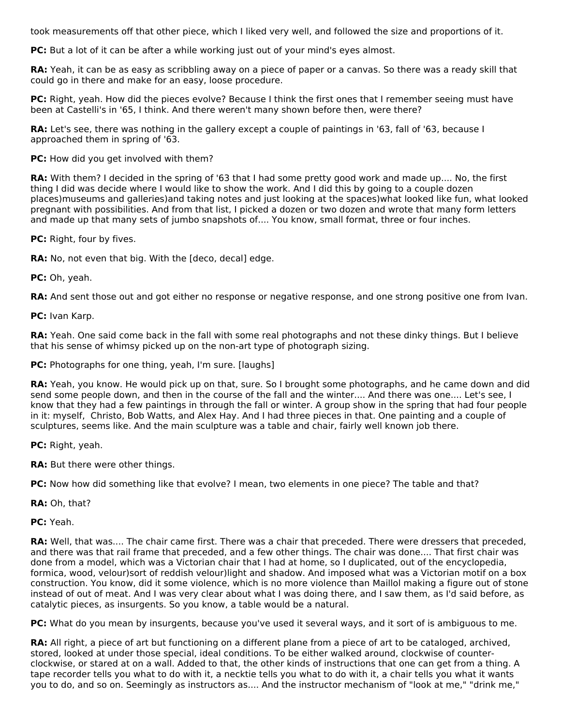took measurements off that other piece, which I liked very well, and followed the size and proportions of it.

**PC:** But a lot of it can be after a while working just out of your mind's eyes almost.

**RA:** Yeah, it can be as easy as scribbling away on a piece of paper or a canvas. So there was a ready skill that could go in there and make for an easy, loose procedure.

**PC:** Right, yeah. How did the pieces evolve? Because I think the first ones that I remember seeing must have been at Castelli's in '65, I think. And there weren't many shown before then, were there?

**RA:** Let's see, there was nothing in the gallery except a couple of paintings in '63, fall of '63, because I approached them in spring of '63.

## **PC:** How did you get involved with them?

**RA:** With them? I decided in the spring of '63 that I had some pretty good work and made up.... No, the first thing I did was decide where I would like to show the work. And I did this by going to a couple dozen places)museums and galleries)and taking notes and just looking at the spaces)what looked like fun, what looked pregnant with possibilities. And from that list, I picked a dozen or two dozen and wrote that many form letters and made up that many sets of jumbo snapshots of.... You know, small format, three or four inches.

**PC:** Right, four by fives.

**RA:** No, not even that big. With the [deco, decal] edge.

**PC:** Oh, yeah.

**RA:** And sent those out and got either no response or negative response, and one strong positive one from Ivan.

**PC:** Ivan Karp.

**RA:** Yeah. One said come back in the fall with some real photographs and not these dinky things. But I believe that his sense of whimsy picked up on the non-art type of photograph sizing.

**PC:** Photographs for one thing, yeah, I'm sure. [laughs]

**RA:** Yeah, you know. He would pick up on that, sure. So I brought some photographs, and he came down and did send some people down, and then in the course of the fall and the winter.... And there was one.... Let's see, I know that they had a few paintings in through the fall or winter. A group show in the spring that had four people in it: myself, Christo, Bob Watts, and Alex Hay. And I had three pieces in that. One painting and a couple of sculptures, seems like. And the main sculpture was a table and chair, fairly well known job there.

**PC:** Right, yeah.

**RA:** But there were other things.

**PC:** Now how did something like that evolve? I mean, two elements in one piece? The table and that?

**RA:** Oh, that?

**PC:** Yeah.

**RA:** Well, that was.... The chair came first. There was a chair that preceded. There were dressers that preceded, and there was that rail frame that preceded, and a few other things. The chair was done.... That first chair was done from a model, which was a Victorian chair that I had at home, so I duplicated, out of the encyclopedia, formica, wood, velour)sort of reddish velour)light and shadow. And imposed what was a Victorian motif on a box construction. You know, did it some violence, which is no more violence than Maillol making a figure out of stone instead of out of meat. And I was very clear about what I was doing there, and I saw them, as I'd said before, as catalytic pieces, as insurgents. So you know, a table would be a natural.

**PC:** What do you mean by insurgents, because you've used it several ways, and it sort of is ambiguous to me.

**RA:** All right, a piece of art but functioning on a different plane from a piece of art to be cataloged, archived, stored, looked at under those special, ideal conditions. To be either walked around, clockwise of counterclockwise, or stared at on a wall. Added to that, the other kinds of instructions that one can get from a thing. A tape recorder tells you what to do with it, a necktie tells you what to do with it, a chair tells you what it wants you to do, and so on. Seemingly as instructors as.... And the instructor mechanism of "look at me," "drink me,"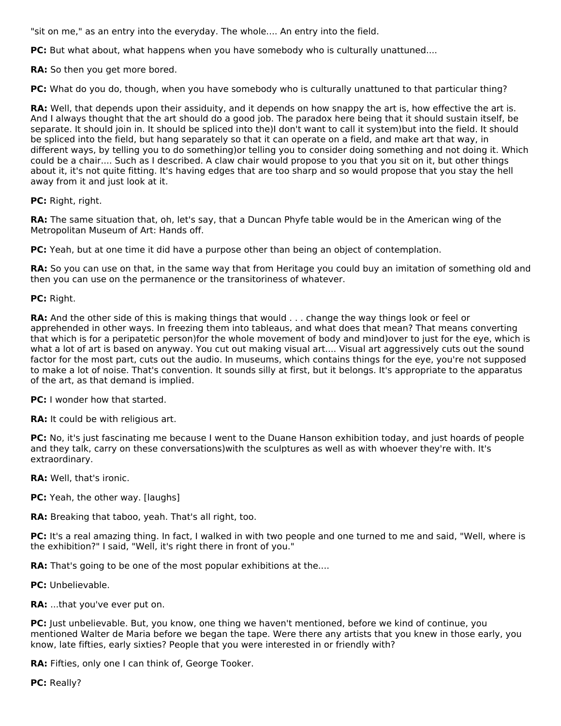"sit on me," as an entry into the everyday. The whole.... An entry into the field.

**PC:** But what about, what happens when you have somebody who is culturally unattuned....

**RA:** So then you get more bored.

**PC:** What do you do, though, when you have somebody who is culturally unattuned to that particular thing?

**RA:** Well, that depends upon their assiduity, and it depends on how snappy the art is, how effective the art is. And I always thought that the art should do a good job. The paradox here being that it should sustain itself, be separate. It should join in. It should be spliced into the)I don't want to call it system)but into the field. It should be spliced into the field, but hang separately so that it can operate on a field, and make art that way, in different ways, by telling you to do something)or telling you to consider doing something and not doing it. Which could be a chair.... Such as I described. A claw chair would propose to you that you sit on it, but other things about it, it's not quite fitting. It's having edges that are too sharp and so would propose that you stay the hell away from it and just look at it.

**PC:** Right, right.

**RA:** The same situation that, oh, let's say, that a Duncan Phyfe table would be in the American wing of the Metropolitan Museum of Art: Hands off.

**PC:** Yeah, but at one time it did have a purpose other than being an object of contemplation.

**RA:** So you can use on that, in the same way that from Heritage you could buy an imitation of something old and then you can use on the permanence or the transitoriness of whatever.

**PC:** Right.

**RA:** And the other side of this is making things that would . . . change the way things look or feel or apprehended in other ways. In freezing them into tableaus, and what does that mean? That means converting that which is for a peripatetic person)for the whole movement of body and mind)over to just for the eye, which is what a lot of art is based on anyway. You cut out making visual art.... Visual art aggressively cuts out the sound factor for the most part, cuts out the audio. In museums, which contains things for the eye, you're not supposed to make a lot of noise. That's convention. It sounds silly at first, but it belongs. It's appropriate to the apparatus of the art, as that demand is implied.

**PC:** I wonder how that started.

**RA:** It could be with religious art.

**PC:** No, it's just fascinating me because I went to the Duane Hanson exhibition today, and just hoards of people and they talk, carry on these conversations)with the sculptures as well as with whoever they're with. It's extraordinary.

**RA:** Well, that's ironic.

**PC:** Yeah, the other way. [laughs]

**RA:** Breaking that taboo, yeah. That's all right, too.

**PC:** It's a real amazing thing. In fact, I walked in with two people and one turned to me and said, "Well, where is the exhibition?" I said, "Well, it's right there in front of you."

RA: That's going to be one of the most popular exhibitions at the....

**PC:** Unbelievable.

**RA:** ...that you've ever put on.

**PC:** Just unbelievable. But, you know, one thing we haven't mentioned, before we kind of continue, you mentioned Walter de Maria before we began the tape. Were there any artists that you knew in those early, you know, late fifties, early sixties? People that you were interested in or friendly with?

**RA:** Fifties, only one I can think of, George Tooker.

**PC:** Really?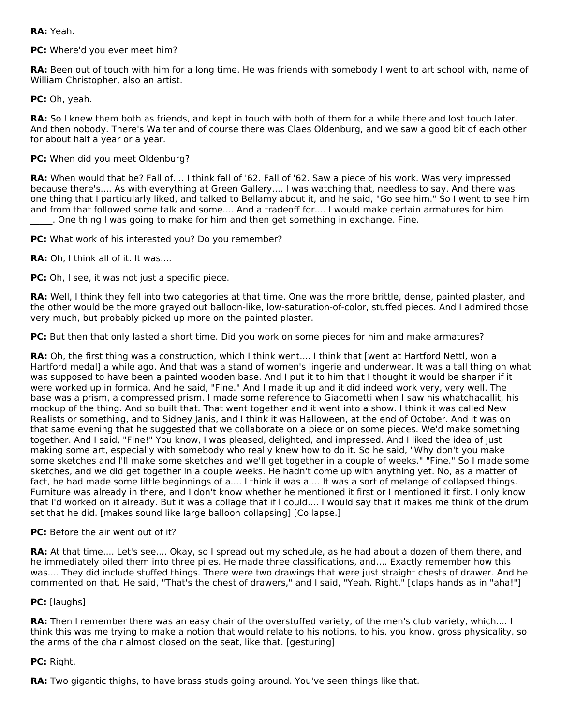**RA:** Yeah.

**PC:** Where'd you ever meet him?

**RA:** Been out of touch with him for a long time. He was friends with somebody I went to art school with, name of William Christopher, also an artist.

**PC:** Oh, yeah.

**RA:** So I knew them both as friends, and kept in touch with both of them for a while there and lost touch later. And then nobody. There's Walter and of course there was Claes Oldenburg, and we saw a good bit of each other for about half a year or a year.

## **PC:** When did you meet Oldenburg?

**RA:** When would that be? Fall of.... I think fall of '62. Fall of '62. Saw a piece of his work. Was very impressed because there's.... As with everything at Green Gallery.... I was watching that, needless to say. And there was one thing that I particularly liked, and talked to Bellamy about it, and he said, "Go see him." So I went to see him and from that followed some talk and some.... And a tradeoff for.... I would make certain armatures for him \_\_\_\_\_. One thing I was going to make for him and then get something in exchange. Fine.

**PC:** What work of his interested you? Do you remember?

**RA:** Oh, I think all of it. It was....

**PC:** Oh, I see, it was not just a specific piece.

**RA:** Well, I think they fell into two categories at that time. One was the more brittle, dense, painted plaster, and the other would be the more grayed out balloon-like, low-saturation-of-color, stuffed pieces. And I admired those very much, but probably picked up more on the painted plaster.

**PC:** But then that only lasted a short time. Did you work on some pieces for him and make armatures?

**RA:** Oh, the first thing was a construction, which I think went.... I think that [went at Hartford Nettl, won a Hartford medal] a while ago. And that was a stand of women's lingerie and underwear. It was a tall thing on what was supposed to have been a painted wooden base. And I put it to him that I thought it would be sharper if it were worked up in formica. And he said, "Fine." And I made it up and it did indeed work very, very well. The base was a prism, a compressed prism. I made some reference to Giacometti when I saw his whatchacallit, his mockup of the thing. And so built that. That went together and it went into a show. I think it was called New Realists or something, and to Sidney Janis, and I think it was Halloween, at the end of October. And it was on that same evening that he suggested that we collaborate on a piece or on some pieces. We'd make something together. And I said, "Fine!" You know, I was pleased, delighted, and impressed. And I liked the idea of just making some art, especially with somebody who really knew how to do it. So he said, "Why don't you make some sketches and I'll make some sketches and we'll get together in a couple of weeks." "Fine." So I made some sketches, and we did get together in a couple weeks. He hadn't come up with anything yet. No, as a matter of fact, he had made some little beginnings of a.... I think it was a.... It was a sort of melange of collapsed things. Furniture was already in there, and I don't know whether he mentioned it first or I mentioned it first. I only know that I'd worked on it already. But it was a collage that if I could.... I would say that it makes me think of the drum set that he did. [makes sound like large balloon collapsing] [Collapse.]

### **PC:** Before the air went out of it?

**RA:** At that time.... Let's see.... Okay, so I spread out my schedule, as he had about a dozen of them there, and he immediately piled them into three piles. He made three classifications, and.... Exactly remember how this was.... They did include stuffed things. There were two drawings that were just straight chests of drawer. And he commented on that. He said, "That's the chest of drawers," and I said, "Yeah. Right." [claps hands as in "aha!"]

### **PC:** [laughs]

**RA:** Then I remember there was an easy chair of the overstuffed variety, of the men's club variety, which.... I think this was me trying to make a notion that would relate to his notions, to his, you know, gross physicality, so the arms of the chair almost closed on the seat, like that. [gesturing]

### **PC:** Right.

**RA:** Two gigantic thighs, to have brass studs going around. You've seen things like that.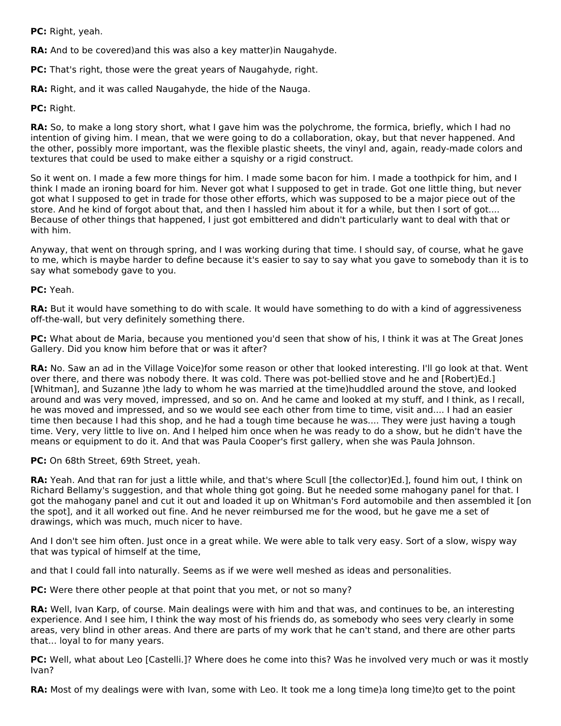**PC:** Right, yeah.

**RA:** And to be covered)and this was also a key matter)in Naugahyde.

**PC:** That's right, those were the great years of Naugahyde, right.

**RA:** Right, and it was called Naugahyde, the hide of the Nauga.

**PC:** Right.

**RA:** So, to make a long story short, what I gave him was the polychrome, the formica, briefly, which I had no intention of giving him. I mean, that we were going to do a collaboration, okay, but that never happened. And the other, possibly more important, was the flexible plastic sheets, the vinyl and, again, ready-made colors and textures that could be used to make either a squishy or a rigid construct.

So it went on. I made a few more things for him. I made some bacon for him. I made a toothpick for him, and I think I made an ironing board for him. Never got what I supposed to get in trade. Got one little thing, but never got what I supposed to get in trade for those other efforts, which was supposed to be a major piece out of the store. And he kind of forgot about that, and then I hassled him about it for a while, but then I sort of got.... Because of other things that happened, I just got embittered and didn't particularly want to deal with that or with him.

Anyway, that went on through spring, and I was working during that time. I should say, of course, what he gave to me, which is maybe harder to define because it's easier to say to say what you gave to somebody than it is to say what somebody gave to you.

### **PC:** Yeah.

**RA:** But it would have something to do with scale. It would have something to do with a kind of aggressiveness off-the-wall, but very definitely something there.

**PC:** What about de Maria, because you mentioned you'd seen that show of his, I think it was at The Great Jones Gallery. Did you know him before that or was it after?

**RA:** No. Saw an ad in the Village Voice)for some reason or other that looked interesting. I'll go look at that. Went over there, and there was nobody there. It was cold. There was pot-bellied stove and he and [Robert)Ed.] [Whitman], and Suzanne )the lady to whom he was married at the time)huddled around the stove, and looked around and was very moved, impressed, and so on. And he came and looked at my stuff, and I think, as I recall, he was moved and impressed, and so we would see each other from time to time, visit and.... I had an easier time then because I had this shop, and he had a tough time because he was.... They were just having a tough time. Very, very little to live on. And I helped him once when he was ready to do a show, but he didn't have the means or equipment to do it. And that was Paula Cooper's first gallery, when she was Paula Johnson.

**PC:** On 68th Street, 69th Street, yeah.

**RA:** Yeah. And that ran for just a little while, and that's where Scull [the collector)Ed.], found him out, I think on Richard Bellamy's suggestion, and that whole thing got going. But he needed some mahogany panel for that. I got the mahogany panel and cut it out and loaded it up on Whitman's Ford automobile and then assembled it [on the spot], and it all worked out fine. And he never reimbursed me for the wood, but he gave me a set of drawings, which was much, much nicer to have.

And I don't see him often. Just once in a great while. We were able to talk very easy. Sort of a slow, wispy way that was typical of himself at the time,

and that I could fall into naturally. Seems as if we were well meshed as ideas and personalities.

**PC:** Were there other people at that point that you met, or not so many?

**RA:** Well, Ivan Karp, of course. Main dealings were with him and that was, and continues to be, an interesting experience. And I see him, I think the way most of his friends do, as somebody who sees very clearly in some areas, very blind in other areas. And there are parts of my work that he can't stand, and there are other parts that... loyal to for many years.

**PC:** Well, what about Leo [Castelli.]? Where does he come into this? Was he involved very much or was it mostly Ivan?

**RA:** Most of my dealings were with Ivan, some with Leo. It took me a long time)a long time)to get to the point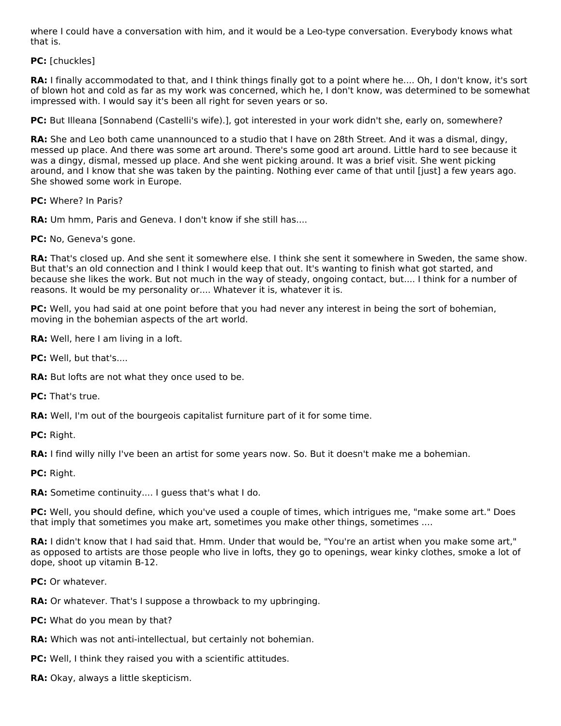where I could have a conversation with him, and it would be a Leo-type conversation. Everybody knows what that is.

**PC:** [chuckles]

**RA:** I finally accommodated to that, and I think things finally got to a point where he.... Oh, I don't know, it's sort of blown hot and cold as far as my work was concerned, which he, I don't know, was determined to be somewhat impressed with. I would say it's been all right for seven years or so.

**PC:** But Illeana [Sonnabend (Castelli's wife).], got interested in your work didn't she, early on, somewhere?

**RA:** She and Leo both came unannounced to a studio that I have on 28th Street. And it was a dismal, dingy, messed up place. And there was some art around. There's some good art around. Little hard to see because it was a dingy, dismal, messed up place. And she went picking around. It was a brief visit. She went picking around, and I know that she was taken by the painting. Nothing ever came of that until [just] a few years ago. She showed some work in Europe.

**PC:** Where? In Paris?

**RA:** Um hmm, Paris and Geneva. I don't know if she still has....

**PC:** No, Geneva's gone.

**RA:** That's closed up. And she sent it somewhere else. I think she sent it somewhere in Sweden, the same show. But that's an old connection and I think I would keep that out. It's wanting to finish what got started, and because she likes the work. But not much in the way of steady, ongoing contact, but.... I think for a number of reasons. It would be my personality or.... Whatever it is, whatever it is.

**PC:** Well, you had said at one point before that you had never any interest in being the sort of bohemian, moving in the bohemian aspects of the art world.

**RA:** Well, here I am living in a loft.

PC: Well, but that's....

**RA:** But lofts are not what they once used to be.

**PC:** That's true.

**RA:** Well, I'm out of the bourgeois capitalist furniture part of it for some time.

**PC:** Right.

**RA:** I find willy nilly I've been an artist for some years now. So. But it doesn't make me a bohemian.

**PC:** Right.

**RA:** Sometime continuity.... I guess that's what I do.

**PC:** Well, you should define, which you've used a couple of times, which intrigues me, "make some art." Does that imply that sometimes you make art, sometimes you make other things, sometimes ....

**RA:** I didn't know that I had said that. Hmm. Under that would be, "You're an artist when you make some art," as opposed to artists are those people who live in lofts, they go to openings, wear kinky clothes, smoke a lot of dope, shoot up vitamin B-12.

**PC:** Or whatever.

**RA:** Or whatever. That's I suppose a throwback to my upbringing.

**PC:** What do you mean by that?

**RA:** Which was not anti-intellectual, but certainly not bohemian.

**PC:** Well, I think they raised you with a scientific attitudes.

**RA:** Okay, always a little skepticism.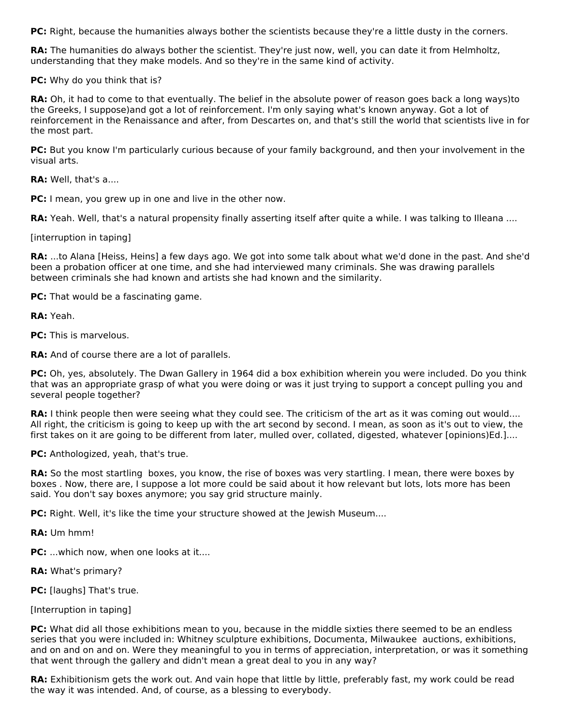**PC:** Right, because the humanities always bother the scientists because they're a little dusty in the corners.

**RA:** The humanities do always bother the scientist. They're just now, well, you can date it from Helmholtz, understanding that they make models. And so they're in the same kind of activity.

**PC:** Why do you think that is?

**RA:** Oh, it had to come to that eventually. The belief in the absolute power of reason goes back a long ways)to the Greeks, I suppose)and got a lot of reinforcement. I'm only saying what's known anyway. Got a lot of reinforcement in the Renaissance and after, from Descartes on, and that's still the world that scientists live in for the most part.

**PC:** But you know I'm particularly curious because of your family background, and then your involvement in the visual arts.

**RA:** Well, that's a....

**PC:** I mean, you grew up in one and live in the other now.

**RA:** Yeah. Well, that's a natural propensity finally asserting itself after quite a while. I was talking to Illeana ....

[interruption in taping]

**RA:** ...to Alana [Heiss, Heins] a few days ago. We got into some talk about what we'd done in the past. And she'd been a probation officer at one time, and she had interviewed many criminals. She was drawing parallels between criminals she had known and artists she had known and the similarity.

**PC:** That would be a fascinating game.

**RA:** Yeah.

**PC:** This is marvelous.

**RA:** And of course there are a lot of parallels.

PC: Oh, yes, absolutely. The Dwan Gallery in 1964 did a box exhibition wherein you were included. Do you think that was an appropriate grasp of what you were doing or was it just trying to support a concept pulling you and several people together?

**RA:** I think people then were seeing what they could see. The criticism of the art as it was coming out would.... All right, the criticism is going to keep up with the art second by second. I mean, as soon as it's out to view, the first takes on it are going to be different from later, mulled over, collated, digested, whatever [opinions)Ed.]....

**PC:** Anthologized, yeah, that's true.

**RA:** So the most startling boxes, you know, the rise of boxes was very startling. I mean, there were boxes by boxes . Now, there are, I suppose a lot more could be said about it how relevant but lots, lots more has been said. You don't say boxes anymore; you say grid structure mainly.

**PC:** Right. Well, it's like the time your structure showed at the Jewish Museum....

**RA:** Um hmm!

**PC:** ...which now, when one looks at it....

**RA:** What's primary?

**PC:** [laughs] That's true.

[Interruption in taping]

**PC:** What did all those exhibitions mean to you, because in the middle sixties there seemed to be an endless series that you were included in: Whitney sculpture exhibitions, Documenta, Milwaukee auctions, exhibitions, and on and on and on. Were they meaningful to you in terms of appreciation, interpretation, or was it something that went through the gallery and didn't mean a great deal to you in any way?

**RA:** Exhibitionism gets the work out. And vain hope that little by little, preferably fast, my work could be read the way it was intended. And, of course, as a blessing to everybody.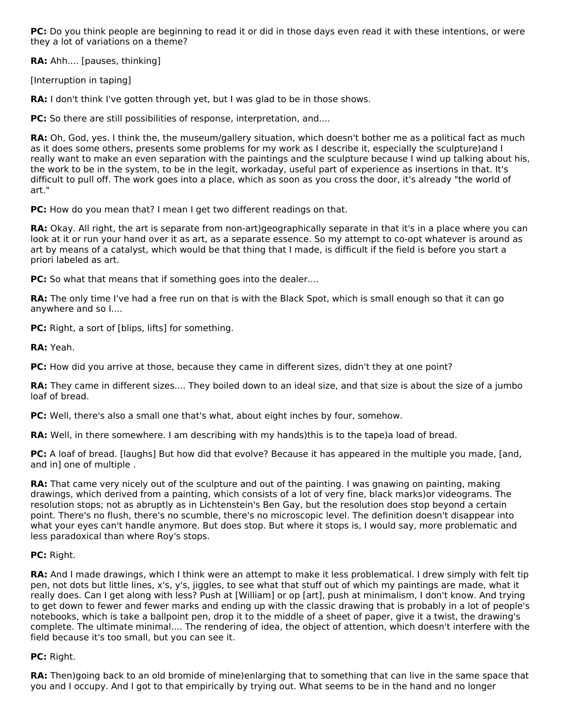**PC:** Do you think people are beginning to read it or did in those days even read it with these intentions, or were they a lot of variations on a theme?

**RA:** Ahh.... [pauses, thinking]

[Interruption in taping]

**RA:** I don't think I've gotten through yet, but I was glad to be in those shows.

**PC:** So there are still possibilities of response, interpretation, and....

**RA:** Oh, God, yes. I think the, the museum/gallery situation, which doesn't bother me as a political fact as much as it does some others, presents some problems for my work as I describe it, especially the sculpture)and I really want to make an even separation with the paintings and the sculpture because I wind up talking about his, the work to be in the system, to be in the legit, workaday, useful part of experience as insertions in that. It's difficult to pull off. The work goes into a place, which as soon as you cross the door, it's already "the world of art."

**PC:** How do you mean that? I mean I get two different readings on that.

**RA:** Okay. All right, the art is separate from non-art)geographically separate in that it's in a place where you can look at it or run your hand over it as art, as a separate essence. So my attempt to co-opt whatever is around as art by means of a catalyst, which would be that thing that I made, is difficult if the field is before you start a priori labeled as art.

**PC:** So what that means that if something goes into the dealer....

**RA:** The only time I've had a free run on that is with the Black Spot, which is small enough so that it can go anywhere and so I....

**PC:** Right, a sort of [blips, lifts] for something.

**RA:** Yeah.

**PC:** How did you arrive at those, because they came in different sizes, didn't they at one point?

**RA:** They came in different sizes.... They boiled down to an ideal size, and that size is about the size of a jumbo loaf of bread.

**PC:** Well, there's also a small one that's what, about eight inches by four, somehow.

**RA:** Well, in there somewhere. I am describing with my hands)this is to the tape)a load of bread.

**PC:** A loaf of bread. [laughs] But how did that evolve? Because it has appeared in the multiple you made, [and, and in] one of multiple .

**RA:** That came very nicely out of the sculpture and out of the painting. I was gnawing on painting, making drawings, which derived from a painting, which consists of a lot of very fine, black marks)or videograms. The resolution stops; not as abruptly as in Lichtenstein's Ben Gay, but the resolution does stop beyond a certain point. There's no flush, there's no scumble, there's no microscopic level. The definition doesn't disappear into what your eyes can't handle anymore. But does stop. But where it stops is, I would say, more problematic and less paradoxical than where Roy's stops.

## **PC:** Right.

**RA:** And I made drawings, which I think were an attempt to make it less problematical. I drew simply with felt tip pen, not dots but little lines, x's, y's, jiggles, to see what that stuff out of which my paintings are made, what it really does. Can I get along with less? Push at [William] or op [art], push at minimalism, I don't know. And trying to get down to fewer and fewer marks and ending up with the classic drawing that is probably in a lot of people's notebooks, which is take a ballpoint pen, drop it to the middle of a sheet of paper, give it a twist, the drawing's complete. The ultimate minimal.... The rendering of idea, the object of attention, which doesn't interfere with the field because it's too small, but you can see it.

## **PC:** Right.

**RA:** Then)going back to an old bromide of mine)enlarging that to something that can live in the same space that you and I occupy. And I got to that empirically by trying out. What seems to be in the hand and no longer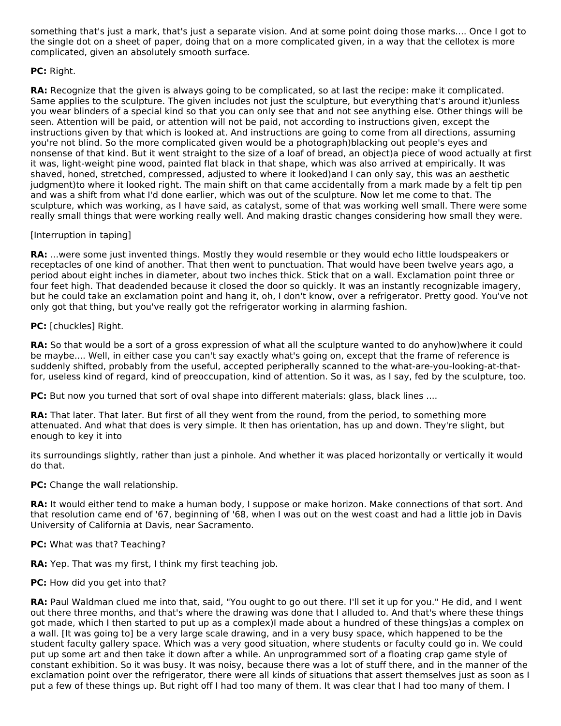something that's just a mark, that's just a separate vision. And at some point doing those marks.... Once I got to the single dot on a sheet of paper, doing that on a more complicated given, in a way that the cellotex is more complicated, given an absolutely smooth surface.

## **PC:** Right.

**RA:** Recognize that the given is always going to be complicated, so at last the recipe: make it complicated. Same applies to the sculpture. The given includes not just the sculpture, but everything that's around it)unless you wear blinders of a special kind so that you can only see that and not see anything else. Other things will be seen. Attention will be paid, or attention will not be paid, not according to instructions given, except the instructions given by that which is looked at. And instructions are going to come from all directions, assuming you're not blind. So the more complicated given would be a photograph)blacking out people's eyes and nonsense of that kind. But it went straight to the size of a loaf of bread, an object)a piece of wood actually at first it was, light-weight pine wood, painted flat black in that shape, which was also arrived at empirically. It was shaved, honed, stretched, compressed, adjusted to where it looked)and I can only say, this was an aesthetic judgment)to where it looked right. The main shift on that came accidentally from a mark made by a felt tip pen and was a shift from what I'd done earlier, which was out of the sculpture. Now let me come to that. The sculpture, which was working, as I have said, as catalyst, some of that was working well small. There were some really small things that were working really well. And making drastic changes considering how small they were.

## [Interruption in taping]

**RA:** ...were some just invented things. Mostly they would resemble or they would echo little loudspeakers or receptacles of one kind of another. That then went to punctuation. That would have been twelve years ago, a period about eight inches in diameter, about two inches thick. Stick that on a wall. Exclamation point three or four feet high. That deadended because it closed the door so quickly. It was an instantly recognizable imagery, but he could take an exclamation point and hang it, oh, I don't know, over a refrigerator. Pretty good. You've not only got that thing, but you've really got the refrigerator working in alarming fashion.

## **PC:** [chuckles] Right.

**RA:** So that would be a sort of a gross expression of what all the sculpture wanted to do anyhow)where it could be maybe.... Well, in either case you can't say exactly what's going on, except that the frame of reference is suddenly shifted, probably from the useful, accepted peripherally scanned to the what-are-you-looking-at-thatfor, useless kind of regard, kind of preoccupation, kind of attention. So it was, as I say, fed by the sculpture, too.

**PC:** But now you turned that sort of oval shape into different materials: glass, black lines ....

**RA:** That later. That later. But first of all they went from the round, from the period, to something more attenuated. And what that does is very simple. It then has orientation, has up and down. They're slight, but enough to key it into

its surroundings slightly, rather than just a pinhole. And whether it was placed horizontally or vertically it would do that.

**PC:** Change the wall relationship.

**RA:** It would either tend to make a human body, I suppose or make horizon. Make connections of that sort. And that resolution came end of '67, beginning of '68, when I was out on the west coast and had a little job in Davis University of California at Davis, near Sacramento.

### **PC:** What was that? Teaching?

**RA:** Yep. That was my first, I think my first teaching job.

### **PC:** How did you get into that?

**RA:** Paul Waldman clued me into that, said, "You ought to go out there. I'll set it up for you." He did, and I went out there three months, and that's where the drawing was done that I alluded to. And that's where these things got made, which I then started to put up as a complex)I made about a hundred of these things)as a complex on a wall. [It was going to] be a very large scale drawing, and in a very busy space, which happened to be the student faculty gallery space. Which was a very good situation, where students or faculty could go in. We could put up some art and then take it down after a while. An unprogrammed sort of a floating crap game style of constant exhibition. So it was busy. It was noisy, because there was a lot of stuff there, and in the manner of the exclamation point over the refrigerator, there were all kinds of situations that assert themselves just as soon as I put a few of these things up. But right off I had too many of them. It was clear that I had too many of them. I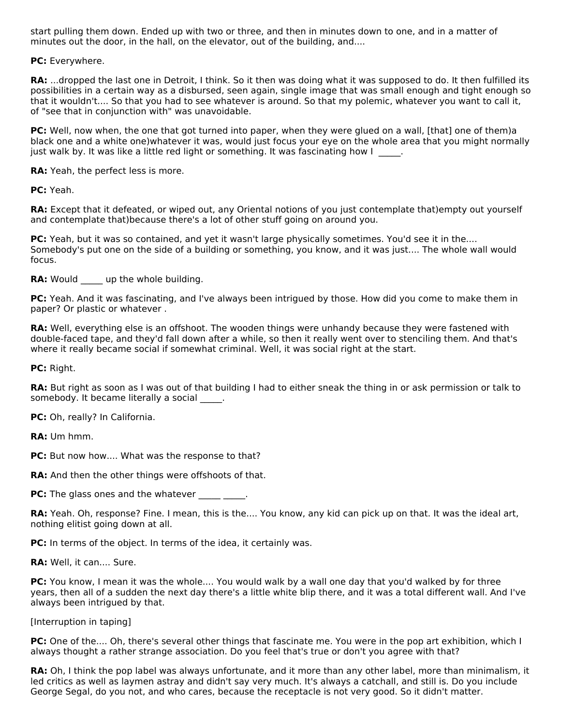start pulling them down. Ended up with two or three, and then in minutes down to one, and in a matter of minutes out the door, in the hall, on the elevator, out of the building, and....

**PC:** Everywhere.

**RA:** ...dropped the last one in Detroit, I think. So it then was doing what it was supposed to do. It then fulfilled its possibilities in a certain way as a disbursed, seen again, single image that was small enough and tight enough so that it wouldn't.... So that you had to see whatever is around. So that my polemic, whatever you want to call it, of "see that in conjunction with" was unavoidable.

**PC:** Well, now when, the one that got turned into paper, when they were glued on a wall, [that] one of them)a black one and a white one)whatever it was, would just focus your eye on the whole area that you might normally just walk by. It was like a little red light or something. It was fascinating how I

**RA:** Yeah, the perfect less is more.

**PC:** Yeah.

**RA:** Except that it defeated, or wiped out, any Oriental notions of you just contemplate that)empty out yourself and contemplate that)because there's a lot of other stuff going on around you.

**PC:** Yeah, but it was so contained, and yet it wasn't large physically sometimes. You'd see it in the.... Somebody's put one on the side of a building or something, you know, and it was just.... The whole wall would focus.

**RA:** Would up the whole building.

**PC:** Yeah. And it was fascinating, and I've always been intrigued by those. How did you come to make them in paper? Or plastic or whatever .

**RA:** Well, everything else is an offshoot. The wooden things were unhandy because they were fastened with double-faced tape, and they'd fall down after a while, so then it really went over to stenciling them. And that's where it really became social if somewhat criminal. Well, it was social right at the start.

**PC:** Right.

**RA:** But right as soon as I was out of that building I had to either sneak the thing in or ask permission or talk to somebody. It became literally a social \_\_\_\_\_.

**PC:** Oh, really? In California.

**RA:** Um hmm.

**PC:** But now how.... What was the response to that?

**RA:** And then the other things were offshoots of that.

**PC:** The glass ones and the whatever \_\_\_\_\_\_\_\_.

**RA:** Yeah. Oh, response? Fine. I mean, this is the.... You know, any kid can pick up on that. It was the ideal art, nothing elitist going down at all.

**PC:** In terms of the object. In terms of the idea, it certainly was.

**RA:** Well, it can.... Sure.

**PC:** You know, I mean it was the whole.... You would walk by a wall one day that you'd walked by for three years, then all of a sudden the next day there's a little white blip there, and it was a total different wall. And I've always been intrigued by that.

[Interruption in taping]

**PC:** One of the.... Oh, there's several other things that fascinate me. You were in the pop art exhibition, which I always thought a rather strange association. Do you feel that's true or don't you agree with that?

**RA:** Oh, I think the pop label was always unfortunate, and it more than any other label, more than minimalism, it led critics as well as laymen astray and didn't say very much. It's always a catchall, and still is. Do you include George Segal, do you not, and who cares, because the receptacle is not very good. So it didn't matter.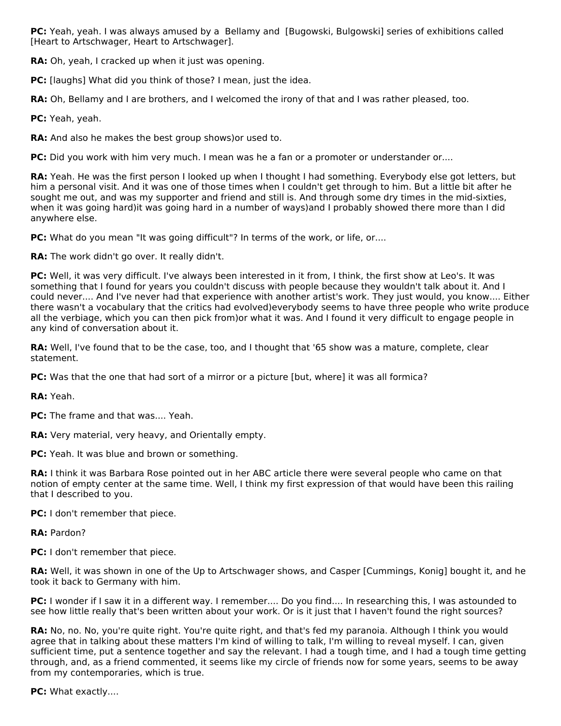**PC:** Yeah, yeah. I was always amused by a Bellamy and [Bugowski, Bulgowski] series of exhibitions called [Heart to Artschwager, Heart to Artschwager].

**RA:** Oh, yeah, I cracked up when it just was opening.

**PC:** [laughs] What did you think of those? I mean, just the idea.

**RA:** Oh, Bellamy and I are brothers, and I welcomed the irony of that and I was rather pleased, too.

**PC:** Yeah, yeah.

**RA:** And also he makes the best group shows)or used to.

**PC:** Did you work with him very much. I mean was he a fan or a promoter or understander or....

**RA:** Yeah. He was the first person I looked up when I thought I had something. Everybody else got letters, but him a personal visit. And it was one of those times when I couldn't get through to him. But a little bit after he sought me out, and was my supporter and friend and still is. And through some dry times in the mid-sixties, when it was going hard)it was going hard in a number of ways)and I probably showed there more than I did anywhere else.

**PC:** What do you mean "It was going difficult"? In terms of the work, or life, or....

**RA:** The work didn't go over. It really didn't.

**PC:** Well, it was very difficult. I've always been interested in it from, I think, the first show at Leo's. It was something that I found for years you couldn't discuss with people because they wouldn't talk about it. And I could never.... And I've never had that experience with another artist's work. They just would, you know.... Either there wasn't a vocabulary that the critics had evolved)everybody seems to have three people who write produce all the verbiage, which you can then pick from)or what it was. And I found it very difficult to engage people in any kind of conversation about it.

RA: Well, I've found that to be the case, too, and I thought that '65 show was a mature, complete, clear statement.

**PC:** Was that the one that had sort of a mirror or a picture [but, where] it was all formica?

**RA:** Yeah.

**PC:** The frame and that was.... Yeah.

**RA:** Very material, very heavy, and Orientally empty.

**PC:** Yeah. It was blue and brown or something.

**RA:** I think it was Barbara Rose pointed out in her ABC article there were several people who came on that notion of empty center at the same time. Well, I think my first expression of that would have been this railing that I described to you.

**PC:** I don't remember that piece.

**RA:** Pardon?

**PC:** I don't remember that piece.

**RA:** Well, it was shown in one of the Up to Artschwager shows, and Casper [Cummings, Konig] bought it, and he took it back to Germany with him.

**PC:** I wonder if I saw it in a different way. I remember.... Do you find.... In researching this, I was astounded to see how little really that's been written about your work. Or is it just that I haven't found the right sources?

**RA:** No, no. No, you're quite right. You're quite right, and that's fed my paranoia. Although I think you would agree that in talking about these matters I'm kind of willing to talk, I'm willing to reveal myself. I can, given sufficient time, put a sentence together and say the relevant. I had a tough time, and I had a tough time getting through, and, as a friend commented, it seems like my circle of friends now for some years, seems to be away from my contemporaries, which is true.

**PC:** What exactly....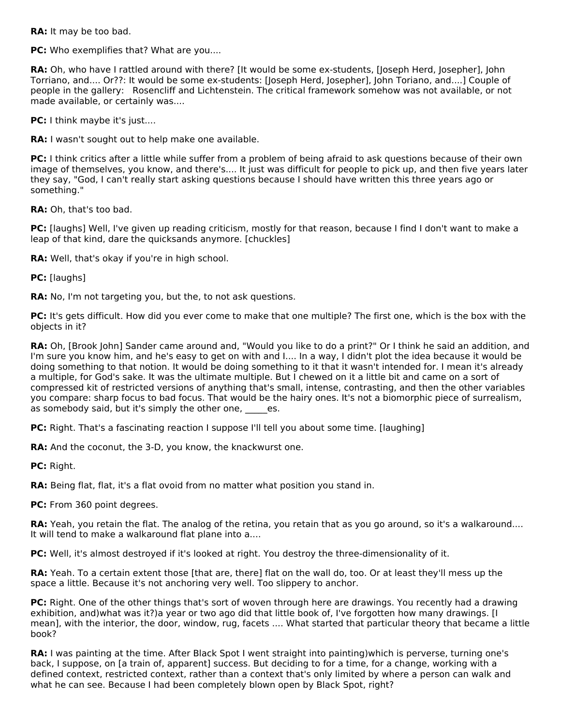**RA:** It may be too bad.

**PC:** Who exemplifies that? What are you....

**RA:** Oh, who have I rattled around with there? [It would be some ex-students, [Joseph Herd, Josepher], John Torriano, and.... Or??: It would be some ex-students: [Joseph Herd, Josepher], John Toriano, and....] Couple of people in the gallery: Rosencliff and Lichtenstein. The critical framework somehow was not available, or not made available, or certainly was....

**PC:** I think maybe it's just....

**RA:** I wasn't sought out to help make one available.

**PC:** I think critics after a little while suffer from a problem of being afraid to ask questions because of their own image of themselves, you know, and there's.... It just was difficult for people to pick up, and then five years later they say, "God, I can't really start asking questions because I should have written this three years ago or something."

**RA:** Oh, that's too bad.

**PC:** [laughs] Well, I've given up reading criticism, mostly for that reason, because I find I don't want to make a leap of that kind, dare the quicksands anymore. [chuckles]

**RA:** Well, that's okay if you're in high school.

**PC:** [laughs]

**RA:** No, I'm not targeting you, but the, to not ask questions.

**PC:** It's gets difficult. How did you ever come to make that one multiple? The first one, which is the box with the objects in it?

**RA:** Oh, [Brook John] Sander came around and, "Would you like to do a print?" Or I think he said an addition, and I'm sure you know him, and he's easy to get on with and I.... In a way, I didn't plot the idea because it would be doing something to that notion. It would be doing something to it that it wasn't intended for. I mean it's already a multiple, for God's sake. It was the ultimate multiple. But I chewed on it a little bit and came on a sort of compressed kit of restricted versions of anything that's small, intense, contrasting, and then the other variables you compare: sharp focus to bad focus. That would be the hairy ones. It's not a biomorphic piece of surrealism, as somebody said, but it's simply the other one, es.

**PC:** Right. That's a fascinating reaction I suppose I'll tell you about some time. [laughing]

**RA:** And the coconut, the 3-D, you know, the knackwurst one.

**PC:** Right.

**RA:** Being flat, flat, it's a flat ovoid from no matter what position you stand in.

PC: From 360 point degrees.

**RA:** Yeah, you retain the flat. The analog of the retina, you retain that as you go around, so it's a walkaround.... It will tend to make a walkaround flat plane into a....

**PC:** Well, it's almost destroyed if it's looked at right. You destroy the three-dimensionality of it.

**RA:** Yeah. To a certain extent those [that are, there] flat on the wall do, too. Or at least they'll mess up the space a little. Because it's not anchoring very well. Too slippery to anchor.

**PC:** Right. One of the other things that's sort of woven through here are drawings. You recently had a drawing exhibition, and)what was it?)a year or two ago did that little book of, I've forgotten how many drawings. [I mean], with the interior, the door, window, rug, facets .... What started that particular theory that became a little book?

**RA:** I was painting at the time. After Black Spot I went straight into painting)which is perverse, turning one's back, I suppose, on [a train of, apparent] success. But deciding to for a time, for a change, working with a defined context, restricted context, rather than a context that's only limited by where a person can walk and what he can see. Because I had been completely blown open by Black Spot, right?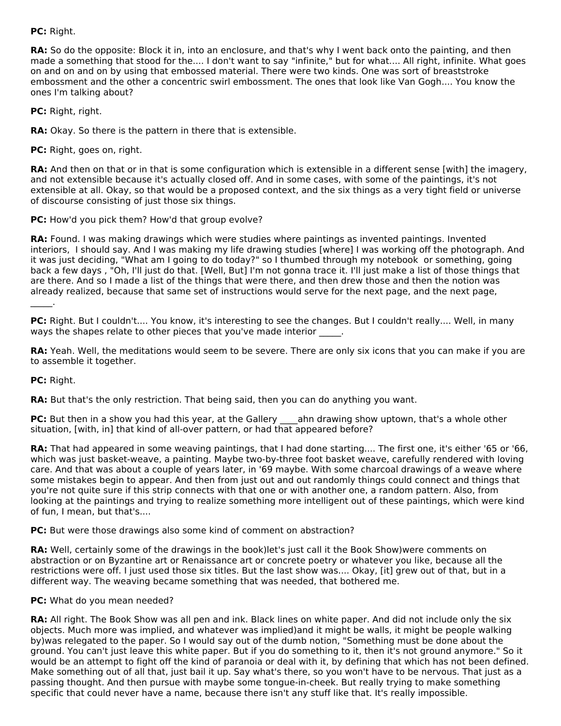**PC:** Right.

**RA:** So do the opposite: Block it in, into an enclosure, and that's why I went back onto the painting, and then made a something that stood for the.... I don't want to say "infinite," but for what.... All right, infinite. What goes on and on and on by using that embossed material. There were two kinds. One was sort of breaststroke embossment and the other a concentric swirl embossment. The ones that look like Van Gogh.... You know the ones I'm talking about?

**PC:** Right, right.

**RA:** Okay. So there is the pattern in there that is extensible.

**PC:** Right, goes on, right.

**RA:** And then on that or in that is some configuration which is extensible in a different sense [with] the imagery, and not extensible because it's actually closed off. And in some cases, with some of the paintings, it's not extensible at all. Okay, so that would be a proposed context, and the six things as a very tight field or universe of discourse consisting of just those six things.

**PC:** How'd you pick them? How'd that group evolve?

**RA:** Found. I was making drawings which were studies where paintings as invented paintings. Invented interiors, I should say. And I was making my life drawing studies [where] I was working off the photograph. And it was just deciding, "What am I going to do today?" so I thumbed through my notebook or something, going back a few days , "Oh, I'll just do that. [Well, But] I'm not gonna trace it. I'll just make a list of those things that are there. And so I made a list of the things that were there, and then drew those and then the notion was already realized, because that same set of instructions would serve for the next page, and the next page,  $\mathcal{L}=\mathcal{L}$ 

**PC:** Right. But I couldn't.... You know, it's interesting to see the changes. But I couldn't really.... Well, in many ways the shapes relate to other pieces that you've made interior  $\qquad \, .$ 

**RA:** Yeah. Well, the meditations would seem to be severe. There are only six icons that you can make if you are to assemble it together.

**PC:** Right.

**RA:** But that's the only restriction. That being said, then you can do anything you want.

**PC:** But then in a show you had this year, at the Gallery ahn drawing show uptown, that's a whole other situation, [with, in] that kind of all-over pattern, or had that appeared before?

**RA:** That had appeared in some weaving paintings, that I had done starting.... The first one, it's either '65 or '66, which was just basket-weave, a painting. Maybe two-by-three foot basket weave, carefully rendered with loving care. And that was about a couple of years later, in '69 maybe. With some charcoal drawings of a weave where some mistakes begin to appear. And then from just out and out randomly things could connect and things that you're not quite sure if this strip connects with that one or with another one, a random pattern. Also, from looking at the paintings and trying to realize something more intelligent out of these paintings, which were kind of fun, I mean, but that's....

**PC:** But were those drawings also some kind of comment on abstraction?

**RA:** Well, certainly some of the drawings in the book)let's just call it the Book Show)were comments on abstraction or on Byzantine art or Renaissance art or concrete poetry or whatever you like, because all the restrictions were off. I just used those six titles. But the last show was.... Okay, [it] grew out of that, but in a different way. The weaving became something that was needed, that bothered me.

### **PC:** What do you mean needed?

**RA:** All right. The Book Show was all pen and ink. Black lines on white paper. And did not include only the six objects. Much more was implied, and whatever was implied)and it might be walls, it might be people walking by)was relegated to the paper. So I would say out of the dumb notion, "Something must be done about the ground. You can't just leave this white paper. But if you do something to it, then it's not ground anymore." So it would be an attempt to fight off the kind of paranoia or deal with it, by defining that which has not been defined. Make something out of all that, just bail it up. Say what's there, so you won't have to be nervous. That just as a passing thought. And then pursue with maybe some tongue-in-cheek. But really trying to make something specific that could never have a name, because there isn't any stuff like that. It's really impossible.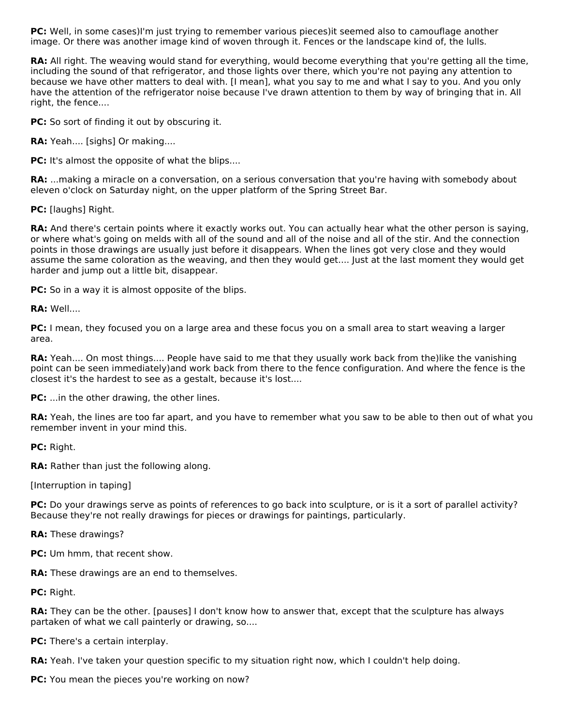**PC:** Well, in some cases)I'm just trying to remember various pieces)it seemed also to camouflage another image. Or there was another image kind of woven through it. Fences or the landscape kind of, the lulls.

**RA:** All right. The weaving would stand for everything, would become everything that you're getting all the time, including the sound of that refrigerator, and those lights over there, which you're not paying any attention to because we have other matters to deal with. [I mean], what you say to me and what I say to you. And you only have the attention of the refrigerator noise because I've drawn attention to them by way of bringing that in. All right, the fence....

**PC:** So sort of finding it out by obscuring it.

**RA:** Yeah.... [sighs] Or making....

**PC:** It's almost the opposite of what the blips....

**RA:** ...making a miracle on a conversation, on a serious conversation that you're having with somebody about eleven o'clock on Saturday night, on the upper platform of the Spring Street Bar.

**PC:** [laughs] Right.

**RA:** And there's certain points where it exactly works out. You can actually hear what the other person is saying, or where what's going on melds with all of the sound and all of the noise and all of the stir. And the connection points in those drawings are usually just before it disappears. When the lines got very close and they would assume the same coloration as the weaving, and then they would get.... Just at the last moment they would get harder and jump out a little bit, disappear.

**PC:** So in a way it is almost opposite of the blips.

**RA:** Well....

**PC:** I mean, they focused you on a large area and these focus you on a small area to start weaving a larger area.

**RA:** Yeah.... On most things.... People have said to me that they usually work back from the)like the vanishing point can be seen immediately)and work back from there to the fence configuration. And where the fence is the closest it's the hardest to see as a gestalt, because it's lost....

**PC:** ...in the other drawing, the other lines.

**RA:** Yeah, the lines are too far apart, and you have to remember what you saw to be able to then out of what you remember invent in your mind this.

**PC:** Right.

**RA:** Rather than just the following along.

[Interruption in taping]

**PC:** Do your drawings serve as points of references to go back into sculpture, or is it a sort of parallel activity? Because they're not really drawings for pieces or drawings for paintings, particularly.

**RA:** These drawings?

**PC:** Um hmm, that recent show.

**RA:** These drawings are an end to themselves.

**PC:** Right.

**RA:** They can be the other. [pauses] I don't know how to answer that, except that the sculpture has always partaken of what we call painterly or drawing, so....

**PC:** There's a certain interplay.

**RA:** Yeah. I've taken your question specific to my situation right now, which I couldn't help doing.

**PC:** You mean the pieces you're working on now?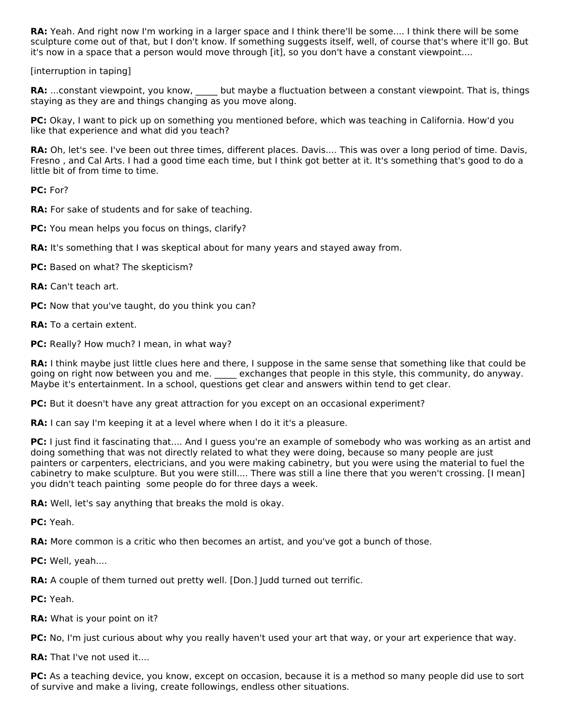**RA:** Yeah. And right now I'm working in a larger space and I think there'll be some.... I think there will be some sculpture come out of that, but I don't know. If something suggests itself, well, of course that's where it'll go. But it's now in a space that a person would move through [it], so you don't have a constant viewpoint....

[interruption in taping]

RA: ...constant viewpoint, you know, but maybe a fluctuation between a constant viewpoint. That is, things staying as they are and things changing as you move along.

**PC:** Okay, I want to pick up on something you mentioned before, which was teaching in California. How'd you like that experience and what did you teach?

**RA:** Oh, let's see. I've been out three times, different places. Davis.... This was over a long period of time. Davis, Fresno , and Cal Arts. I had a good time each time, but I think got better at it. It's something that's good to do a little bit of from time to time.

**PC:** For?

**RA:** For sake of students and for sake of teaching.

- **PC:** You mean helps you focus on things, clarify?
- **RA:** It's something that I was skeptical about for many years and stayed away from.
- **PC:** Based on what? The skepticism?
- **RA:** Can't teach art.
- **PC:** Now that you've taught, do you think you can?
- **RA:** To a certain extent.
- **PC:** Really? How much? I mean, in what way?

**RA:** I think maybe just little clues here and there, I suppose in the same sense that something like that could be going on right now between you and me.  $\qquad$  exchanges that people in this style, this community, do anyway. Maybe it's entertainment. In a school, questions get clear and answers within tend to get clear.

**PC:** But it doesn't have any great attraction for you except on an occasional experiment?

**RA:** I can say I'm keeping it at a level where when I do it it's a pleasure.

**PC:** I just find it fascinating that.... And I guess you're an example of somebody who was working as an artist and doing something that was not directly related to what they were doing, because so many people are just painters or carpenters, electricians, and you were making cabinetry, but you were using the material to fuel the cabinetry to make sculpture. But you were still.... There was still a line there that you weren't crossing. [I mean] you didn't teach painting some people do for three days a week.

**RA:** Well, let's say anything that breaks the mold is okay.

**PC:** Yeah.

**RA:** More common is a critic who then becomes an artist, and you've got a bunch of those.

**PC:** Well, yeah....

**RA:** A couple of them turned out pretty well. [Don.] Judd turned out terrific.

**PC:** Yeah.

**RA:** What is your point on it?

**PC:** No, I'm just curious about why you really haven't used your art that way, or your art experience that way.

**RA:** That I've not used it....

**PC:** As a teaching device, you know, except on occasion, because it is a method so many people did use to sort of survive and make a living, create followings, endless other situations.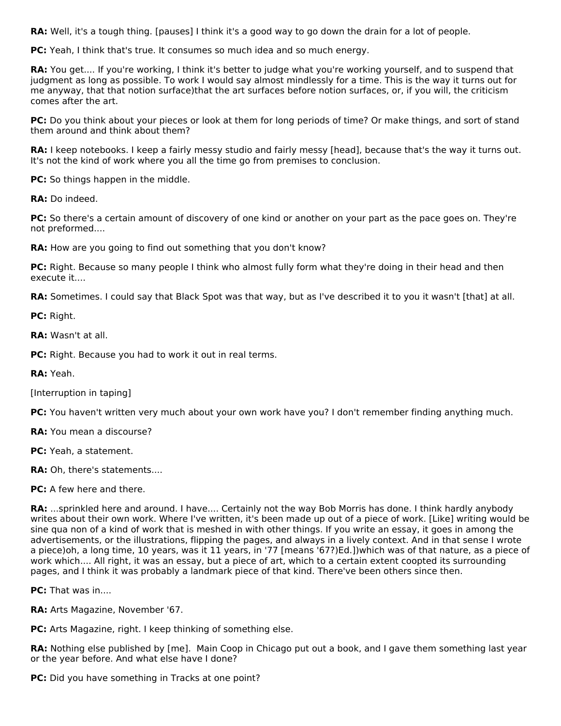**RA:** Well, it's a tough thing. [pauses] I think it's a good way to go down the drain for a lot of people.

**PC:** Yeah, I think that's true. It consumes so much idea and so much energy.

**RA:** You get.... If you're working, I think it's better to judge what you're working yourself, and to suspend that judgment as long as possible. To work I would say almost mindlessly for a time. This is the way it turns out for me anyway, that that notion surface)that the art surfaces before notion surfaces, or, if you will, the criticism comes after the art.

**PC:** Do you think about your pieces or look at them for long periods of time? Or make things, and sort of stand them around and think about them?

**RA:** I keep notebooks. I keep a fairly messy studio and fairly messy [head], because that's the way it turns out. It's not the kind of work where you all the time go from premises to conclusion.

**PC:** So things happen in the middle.

**RA:** Do indeed.

**PC:** So there's a certain amount of discovery of one kind or another on your part as the pace goes on. They're not preformed....

**RA:** How are you going to find out something that you don't know?

PC: Right. Because so many people I think who almost fully form what they're doing in their head and then execute it....

**RA:** Sometimes. I could say that Black Spot was that way, but as I've described it to you it wasn't [that] at all.

**PC:** Right.

**RA:** Wasn't at all.

**PC:** Right. Because you had to work it out in real terms.

**RA:** Yeah.

[Interruption in taping]

**PC:** You haven't written very much about your own work have you? I don't remember finding anything much.

**RA:** You mean a discourse?

**PC:** Yeah, a statement.

**RA:** Oh, there's statements....

**PC:** A few here and there.

**RA:** ...sprinkled here and around. I have.... Certainly not the way Bob Morris has done. I think hardly anybody writes about their own work. Where I've written, it's been made up out of a piece of work. [Like] writing would be sine qua non of a kind of work that is meshed in with other things. If you write an essay, it goes in among the advertisements, or the illustrations, flipping the pages, and always in a lively context. And in that sense I wrote a piece)oh, a long time, 10 years, was it 11 years, in '77 [means '67?)Ed.])which was of that nature, as a piece of work which.... All right, it was an essay, but a piece of art, which to a certain extent coopted its surrounding pages, and I think it was probably a landmark piece of that kind. There've been others since then.

**PC:** That was in....

**RA:** Arts Magazine, November '67.

**PC:** Arts Magazine, right. I keep thinking of something else.

**RA:** Nothing else published by [me]. Main Coop in Chicago put out a book, and I gave them something last year or the year before. And what else have I done?

**PC:** Did you have something in Tracks at one point?